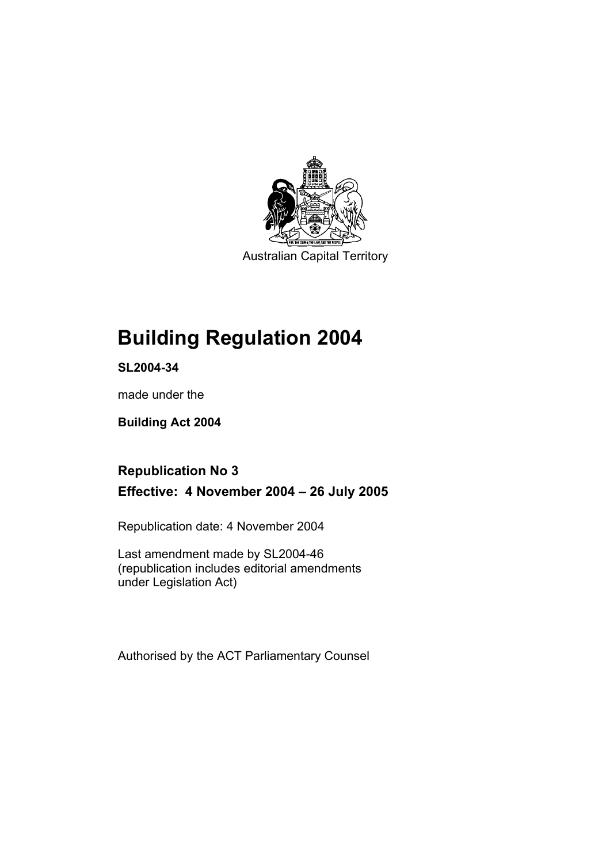

Australian Capital Territory

## **Building Regulation 2004**

**SL2004-34** 

made under the

**Building Act 2004** 

### **Republication No 3 Effective: 4 November 2004 – 26 July 2005**

Republication date: 4 November 2004

Last amendment made by SL2004-46 (republication includes editorial amendments under Legislation Act)

Authorised by the ACT Parliamentary Counsel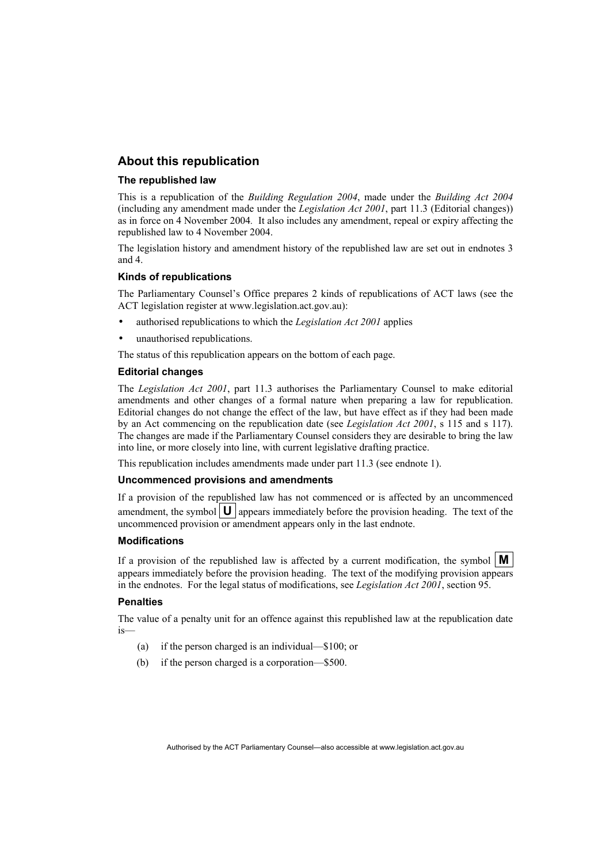### **About this republication**

#### **The republished law**

This is a republication of the *Building Regulation 2004*, made under the *Building Act 2004* (including any amendment made under the *Legislation Act 2001*, part 11.3 (Editorial changes)) as in force on 4 November 2004*.* It also includes any amendment, repeal or expiry affecting the republished law to 4 November 2004.

The legislation history and amendment history of the republished law are set out in endnotes 3 and 4.

#### **Kinds of republications**

The Parliamentary Counsel's Office prepares 2 kinds of republications of ACT laws (see the ACT legislation register at www.legislation.act.gov.au):

- authorised republications to which the *Legislation Act 2001* applies
- unauthorised republications.

The status of this republication appears on the bottom of each page.

#### **Editorial changes**

The *Legislation Act 2001*, part 11.3 authorises the Parliamentary Counsel to make editorial amendments and other changes of a formal nature when preparing a law for republication. Editorial changes do not change the effect of the law, but have effect as if they had been made by an Act commencing on the republication date (see *Legislation Act 2001*, s 115 and s 117). The changes are made if the Parliamentary Counsel considers they are desirable to bring the law into line, or more closely into line, with current legislative drafting practice.

This republication includes amendments made under part 11.3 (see endnote 1).

#### **Uncommenced provisions and amendments**

If a provision of the republished law has not commenced or is affected by an uncommenced amendment, the symbol  $\mathbf{U}$  appears immediately before the provision heading. The text of the uncommenced provision or amendment appears only in the last endnote.

#### **Modifications**

If a provision of the republished law is affected by a current modification, the symbol  $\mathbf{M}$ appears immediately before the provision heading. The text of the modifying provision appears in the endnotes. For the legal status of modifications, see *Legislation Act 2001*, section 95.

#### **Penalties**

The value of a penalty unit for an offence against this republished law at the republication date is—

- (a) if the person charged is an individual—\$100; or
- (b) if the person charged is a corporation—\$500.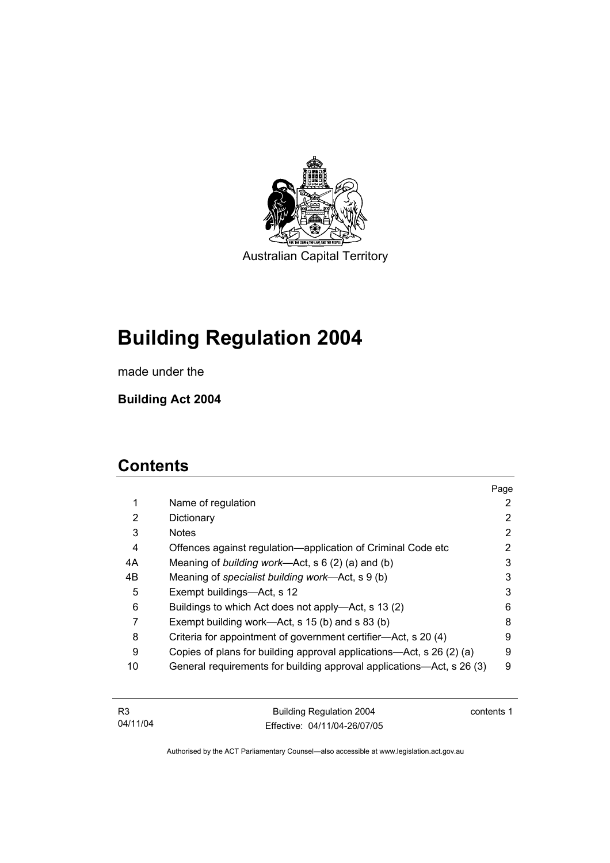

Australian Capital Territory

# **Building Regulation 2004**

made under the

**Building Act 2004** 

## **Contents**

|             |                                                                       | Page |
|-------------|-----------------------------------------------------------------------|------|
| $\mathbf 1$ | Name of regulation                                                    | 2    |
| 2           | Dictionary                                                            | 2    |
| 3           | <b>Notes</b>                                                          | 2    |
| 4           | Offences against regulation-application of Criminal Code etc          | 2    |
| 4A          | Meaning of building work—Act, $s \ 6 \ (2) \ (a)$ and (b)             | 3    |
| 4B          | Meaning of specialist building work—Act, s 9 (b)                      | 3    |
| 5           | Exempt buildings—Act, s 12                                            | 3    |
| 6           | Buildings to which Act does not apply—Act, s 13 (2)                   | 6    |
|             | Exempt building work—Act, s 15 (b) and s 83 (b)                       | 8    |
| 8           | Criteria for appointment of government certifier—Act, s 20 (4)        | 9    |
| 9           | Copies of plans for building approval applications—Act, s 26 (2) (a)  | 9    |
| 10          | General requirements for building approval applications—Act, s 26 (3) | 9    |

| R3       | <b>Building Regulation 2004</b> | contents 1 |
|----------|---------------------------------|------------|
| 04/11/04 | Effective: 04/11/04-26/07/05    |            |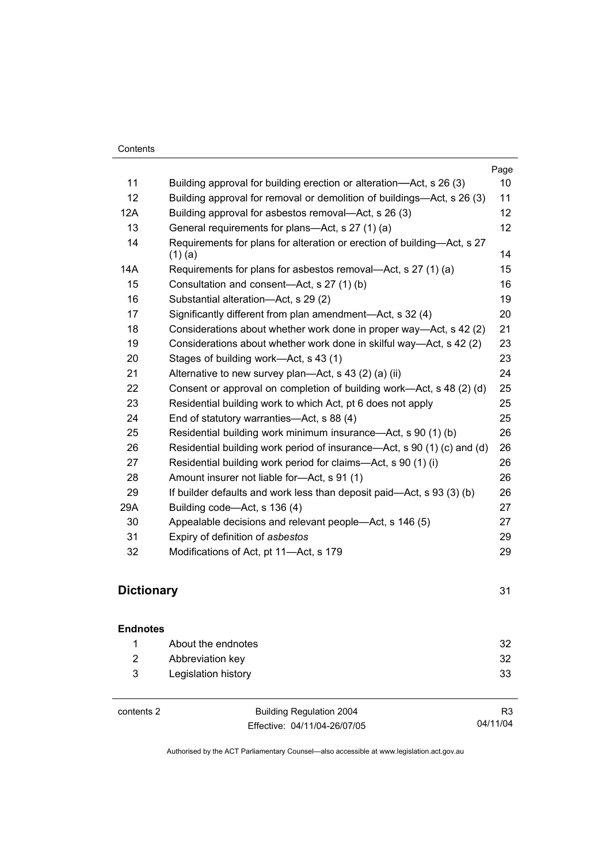|     |                                                                                      | Page |
|-----|--------------------------------------------------------------------------------------|------|
| 11  | Building approval for building erection or alteration—Act, s 26 (3)                  | 10   |
| 12  | Building approval for removal or demolition of buildings—Act, s 26 (3)               | 11   |
| 12A | Building approval for asbestos removal—Act, s 26 (3)                                 | 12   |
| 13  | General requirements for plans—Act, s 27 (1) (a)                                     | 12   |
| 14  | Requirements for plans for alteration or erection of building—Act, s 27<br>$(1)$ (a) | 14   |
| 14A | Requirements for plans for asbestos removal—Act, s 27 (1) (a)                        | 15   |
| 15  | Consultation and consent-Act, s 27 (1) (b)                                           | 16   |
| 16  | Substantial alteration-Act, s 29 (2)                                                 | 19   |
| 17  | Significantly different from plan amendment—Act, s 32 (4)                            | 20   |
| 18  | Considerations about whether work done in proper way—Act, s 42 (2)                   | 21   |
| 19  | Considerations about whether work done in skilful way—Act, s 42 (2)                  | 23   |
| 20  | Stages of building work—Act, s 43 (1)                                                | 23   |
| 21  | Alternative to new survey plan—Act, s 43 (2) (a) (ii)                                | 24   |
| 22  | Consent or approval on completion of building work—Act, s 48 (2) (d)                 | 25   |
| 23  | Residential building work to which Act, pt 6 does not apply                          | 25   |
| 24  | End of statutory warranties-Act, s 88 (4)                                            | 25   |
| 25  | Residential building work minimum insurance—Act, s 90 (1) (b)                        | 26   |
| 26  | Residential building work period of insurance—Act, s 90 (1) (c) and (d)              | 26   |
| 27  | Residential building work period for claims—Act, s 90 (1) (i)                        | 26   |
| 28  | Amount insurer not liable for-Act, s 91 (1)                                          | 26   |
| 29  | If builder defaults and work less than deposit paid—Act, s 93 (3) (b)                | 26   |
| 29A | Building code—Act, s 136 (4)                                                         | 27   |
| 30  | Appealable decisions and relevant people—Act, s 146 (5)                              | 27   |
| 31  | Expiry of definition of asbestos                                                     | 29   |
| 32  | Modifications of Act, pt 11-Act, s 179                                               | 29   |

### **Dictionary** 31

| <b>Endnotes</b> |                     |     |
|-----------------|---------------------|-----|
|                 | About the endnotes  | -32 |
| 2               | Abbreviation key    | -32 |
| 3               | Legislation history | 33  |
|                 |                     |     |

contents 2 Building Regulation 2004 Effective: 04/11/04-26/07/05

R3 04/11/04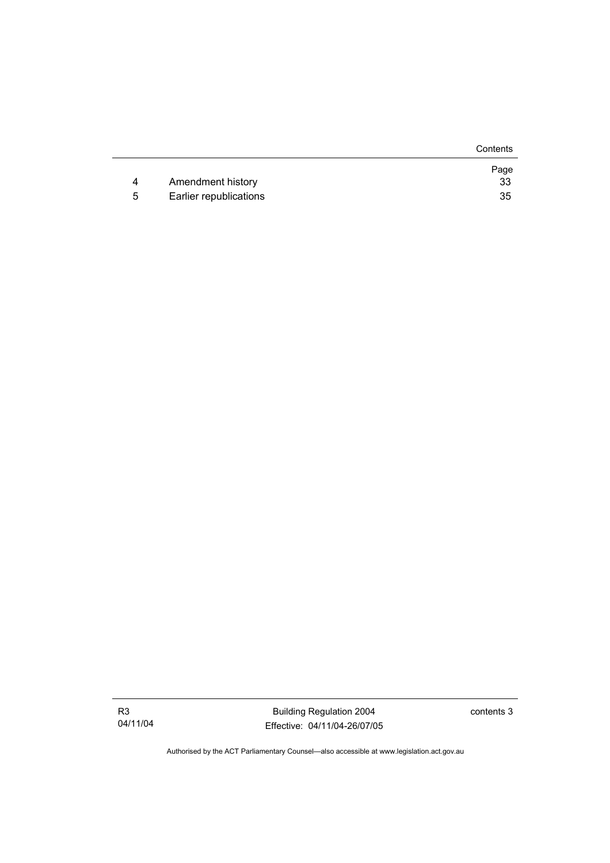|   |                        | Contents   |
|---|------------------------|------------|
| 4 | Amendment history      | Page<br>33 |
|   |                        |            |
| 5 | Earlier republications | 35         |

Building Regulation 2004 Effective: 04/11/04-26/07/05 contents 3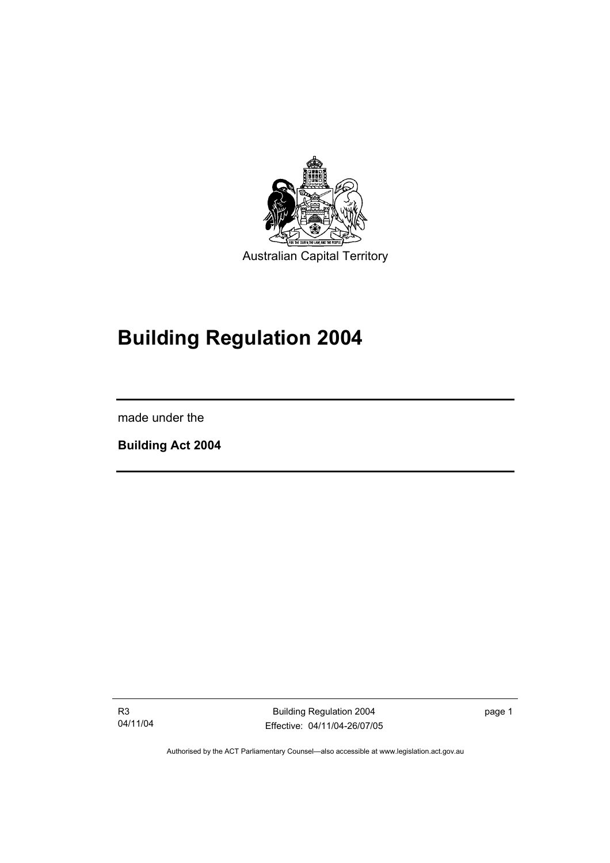

# **Building Regulation 2004**

made under the

I

**Building Act 2004** 

R3 04/11/04

Building Regulation 2004 Effective: 04/11/04-26/07/05 page 1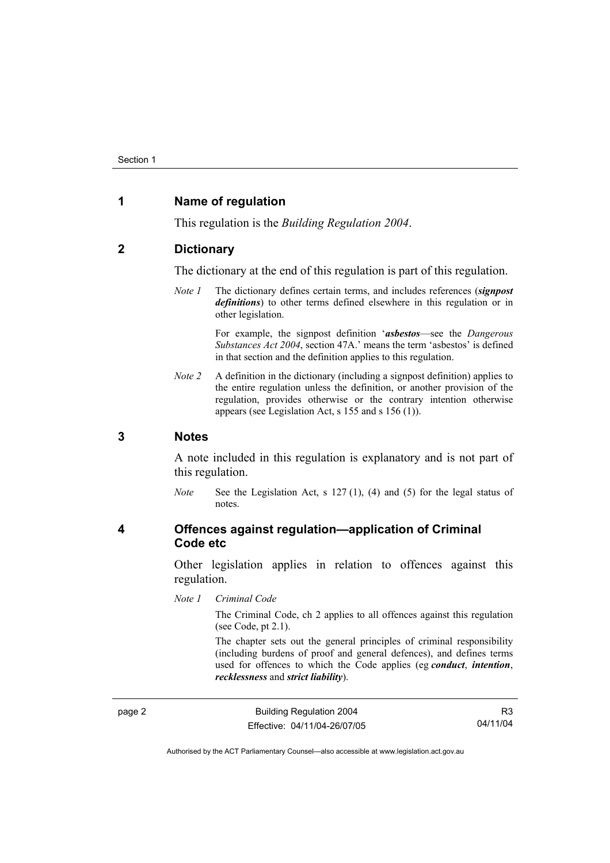### **1 Name of regulation**

This regulation is the *Building Regulation 2004*.

### **2 Dictionary**

The dictionary at the end of this regulation is part of this regulation.

*Note 1* The dictionary defines certain terms, and includes references (*signpost definitions*) to other terms defined elsewhere in this regulation or in other legislation.

> For example, the signpost definition '*asbestos*—see the *Dangerous Substances Act 2004*, section 47A.' means the term 'asbestos' is defined in that section and the definition applies to this regulation.

*Note 2* A definition in the dictionary (including a signpost definition) applies to the entire regulation unless the definition, or another provision of the regulation, provides otherwise or the contrary intention otherwise appears (see Legislation Act, s 155 and s 156 (1)).

### **3 Notes**

A note included in this regulation is explanatory and is not part of this regulation.

*Note* See the Legislation Act, s 127 (1), (4) and (5) for the legal status of notes.

### **4 Offences against regulation—application of Criminal Code etc**

Other legislation applies in relation to offences against this regulation.

*Note 1 Criminal Code*

The Criminal Code, ch 2 applies to all offences against this regulation (see Code, pt 2.1).

The chapter sets out the general principles of criminal responsibility (including burdens of proof and general defences), and defines terms used for offences to which the Code applies (eg *conduct*, *intention*, *recklessness* and *strict liability*).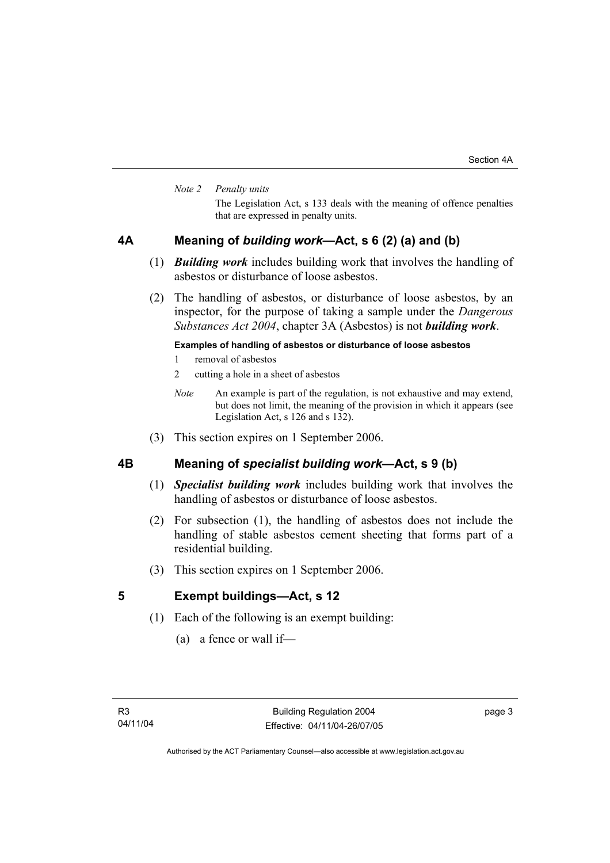#### *Note 2 Penalty units*

The Legislation Act, s 133 deals with the meaning of offence penalties that are expressed in penalty units.

### **4A Meaning of** *building work***—Act, s 6 (2) (a) and (b)**

- (1) *Building work* includes building work that involves the handling of asbestos or disturbance of loose asbestos.
- (2) The handling of asbestos, or disturbance of loose asbestos, by an inspector, for the purpose of taking a sample under the *Dangerous Substances Act 2004*, chapter 3A (Asbestos) is not *building work*.

#### **Examples of handling of asbestos or disturbance of loose asbestos**

- 1 removal of asbestos
- 2 cutting a hole in a sheet of asbestos
- *Note* An example is part of the regulation, is not exhaustive and may extend, but does not limit, the meaning of the provision in which it appears (see Legislation Act, s 126 and s 132).
- (3) This section expires on 1 September 2006.

### **4B Meaning of** *specialist building work***—Act, s 9 (b)**

- (1) *Specialist building work* includes building work that involves the handling of asbestos or disturbance of loose asbestos.
- (2) For subsection (1), the handling of asbestos does not include the handling of stable asbestos cement sheeting that forms part of a residential building.
- (3) This section expires on 1 September 2006.

### **5 Exempt buildings—Act, s 12**

- (1) Each of the following is an exempt building:
	- (a) a fence or wall if—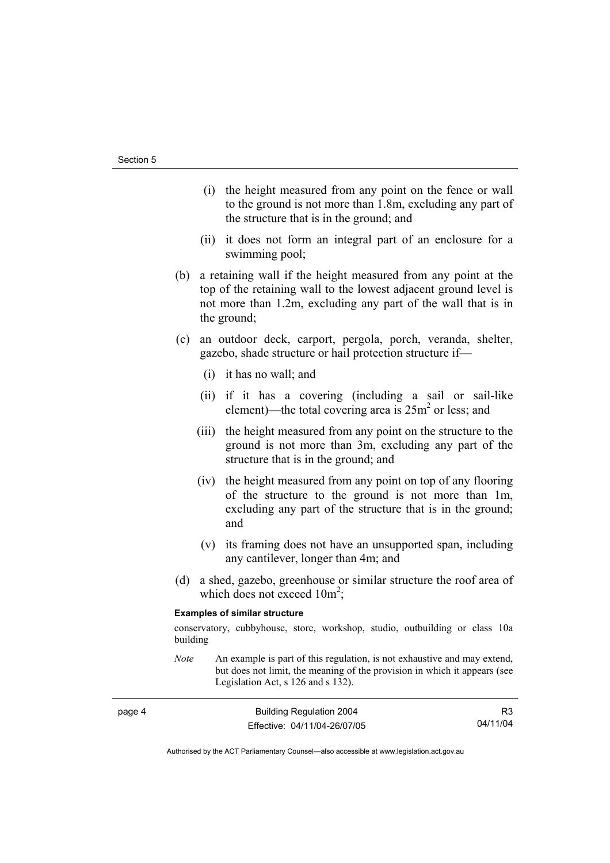- (i) the height measured from any point on the fence or wall to the ground is not more than 1.8m, excluding any part of the structure that is in the ground; and
- (ii) it does not form an integral part of an enclosure for a swimming pool;
- (b) a retaining wall if the height measured from any point at the top of the retaining wall to the lowest adjacent ground level is not more than 1.2m, excluding any part of the wall that is in the ground;
- (c) an outdoor deck, carport, pergola, porch, veranda, shelter, gazebo, shade structure or hail protection structure if—
	- (i) it has no wall; and
	- (ii) if it has a covering (including a sail or sail-like element)—the total covering area is  $25m^2$  or less; and
	- (iii) the height measured from any point on the structure to the ground is not more than 3m, excluding any part of the structure that is in the ground; and
	- (iv) the height measured from any point on top of any flooring of the structure to the ground is not more than 1m, excluding any part of the structure that is in the ground; and
	- (v) its framing does not have an unsupported span, including any cantilever, longer than 4m; and
- (d) a shed, gazebo, greenhouse or similar structure the roof area of which does not exceed  $10m^2$ ;

#### **Examples of similar structure**

conservatory, cubbyhouse, store, workshop, studio, outbuilding or class 10a building

*Note* An example is part of this regulation, is not exhaustive and may extend, but does not limit, the meaning of the provision in which it appears (see Legislation Act, s 126 and s 132).

| page 4 | <b>Building Regulation 2004</b> |          |
|--------|---------------------------------|----------|
|        | Effective: 04/11/04-26/07/05    | 04/11/04 |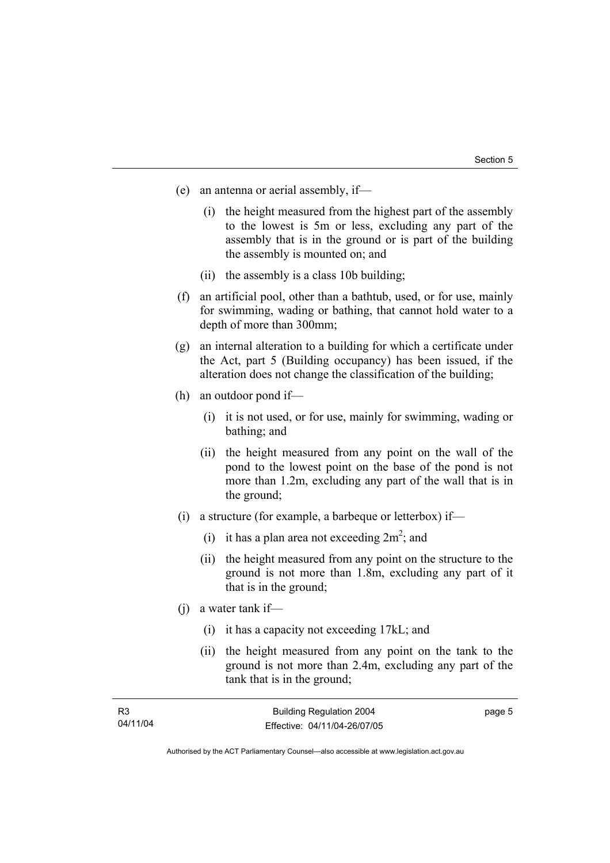- (e) an antenna or aerial assembly, if—
	- (i) the height measured from the highest part of the assembly to the lowest is 5m or less, excluding any part of the assembly that is in the ground or is part of the building the assembly is mounted on; and
	- (ii) the assembly is a class 10b building;
- (f) an artificial pool, other than a bathtub, used, or for use, mainly for swimming, wading or bathing, that cannot hold water to a depth of more than 300mm;
- (g) an internal alteration to a building for which a certificate under the Act, part 5 (Building occupancy) has been issued, if the alteration does not change the classification of the building;
- (h) an outdoor pond if—
	- (i) it is not used, or for use, mainly for swimming, wading or bathing; and
	- (ii) the height measured from any point on the wall of the pond to the lowest point on the base of the pond is not more than 1.2m, excluding any part of the wall that is in the ground;
- (i) a structure (for example, a barbeque or letterbox) if—
- (i) it has a plan area not exceeding  $2m^2$ ; and
	- (ii) the height measured from any point on the structure to the ground is not more than 1.8m, excluding any part of it that is in the ground;
	- (j) a water tank if—
		- (i) it has a capacity not exceeding 17kL; and
		- (ii) the height measured from any point on the tank to the ground is not more than 2.4m, excluding any part of the tank that is in the ground;

| R3       | <b>Building Regulation 2004</b> | page 5 |
|----------|---------------------------------|--------|
| 04/11/04 | Effective: 04/11/04-26/07/05    |        |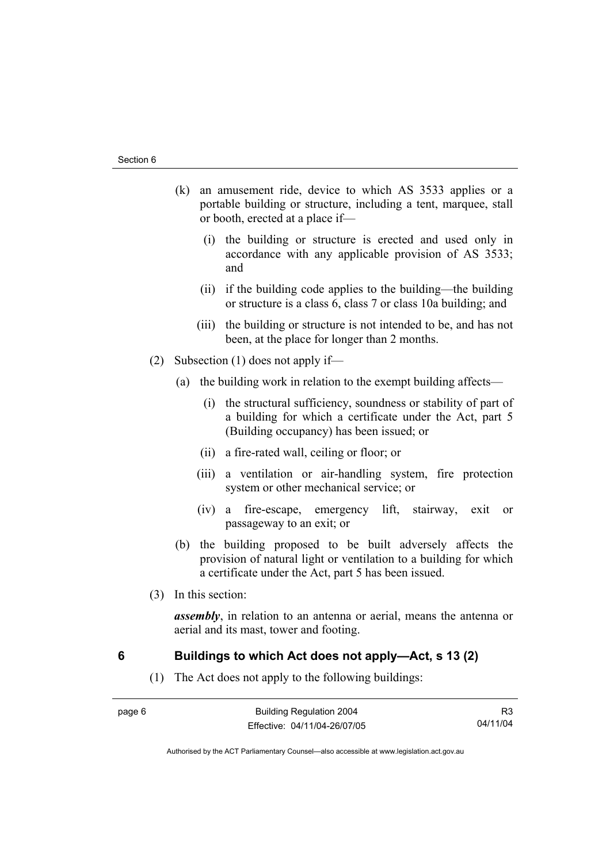- (k) an amusement ride, device to which AS 3533 applies or a portable building or structure, including a tent, marquee, stall or booth, erected at a place if—
	- (i) the building or structure is erected and used only in accordance with any applicable provision of AS 3533; and
	- (ii) if the building code applies to the building—the building or structure is a class 6, class 7 or class 10a building; and
	- (iii) the building or structure is not intended to be, and has not been, at the place for longer than 2 months.
- (2) Subsection (1) does not apply if—
	- (a) the building work in relation to the exempt building affects—
		- (i) the structural sufficiency, soundness or stability of part of a building for which a certificate under the Act, part 5 (Building occupancy) has been issued; or
		- (ii) a fire-rated wall, ceiling or floor; or
		- (iii) a ventilation or air-handling system, fire protection system or other mechanical service; or
		- (iv) a fire-escape, emergency lift, stairway, exit or passageway to an exit; or
	- (b) the building proposed to be built adversely affects the provision of natural light or ventilation to a building for which a certificate under the Act, part 5 has been issued.
- (3) In this section:

*assembly*, in relation to an antenna or aerial, means the antenna or aerial and its mast, tower and footing.

### **6 Buildings to which Act does not apply—Act, s 13 (2)**

(1) The Act does not apply to the following buildings:

| ٠ |  |
|---|--|
|---|--|

R3 04/11/04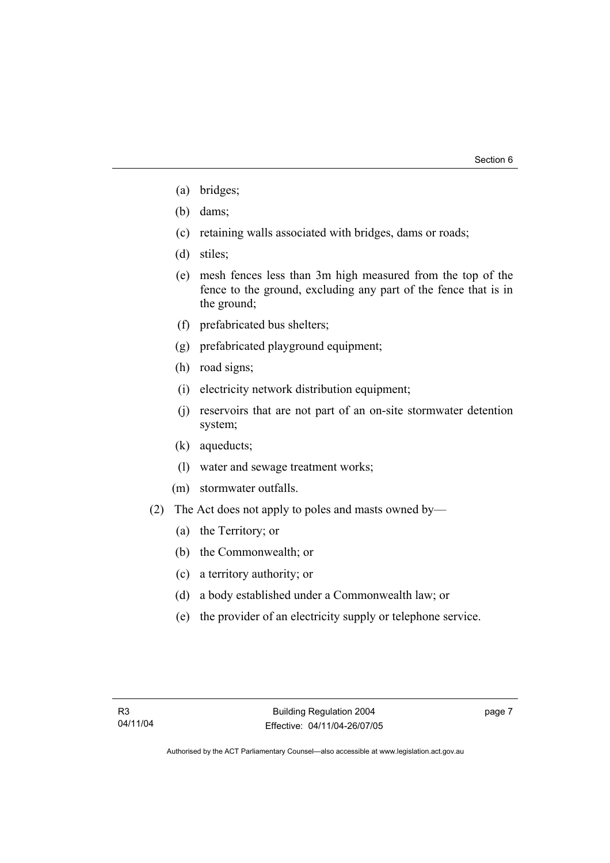- (a) bridges;
- (b) dams;
- (c) retaining walls associated with bridges, dams or roads;
- (d) stiles;
- (e) mesh fences less than 3m high measured from the top of the fence to the ground, excluding any part of the fence that is in the ground;
- (f) prefabricated bus shelters;
- (g) prefabricated playground equipment;
- (h) road signs;
- (i) electricity network distribution equipment;
- (j) reservoirs that are not part of an on-site stormwater detention system;
- (k) aqueducts;
- (l) water and sewage treatment works;
- (m) stormwater outfalls.
- (2) The Act does not apply to poles and masts owned by—
	- (a) the Territory; or
	- (b) the Commonwealth; or
	- (c) a territory authority; or
	- (d) a body established under a Commonwealth law; or
	- (e) the provider of an electricity supply or telephone service.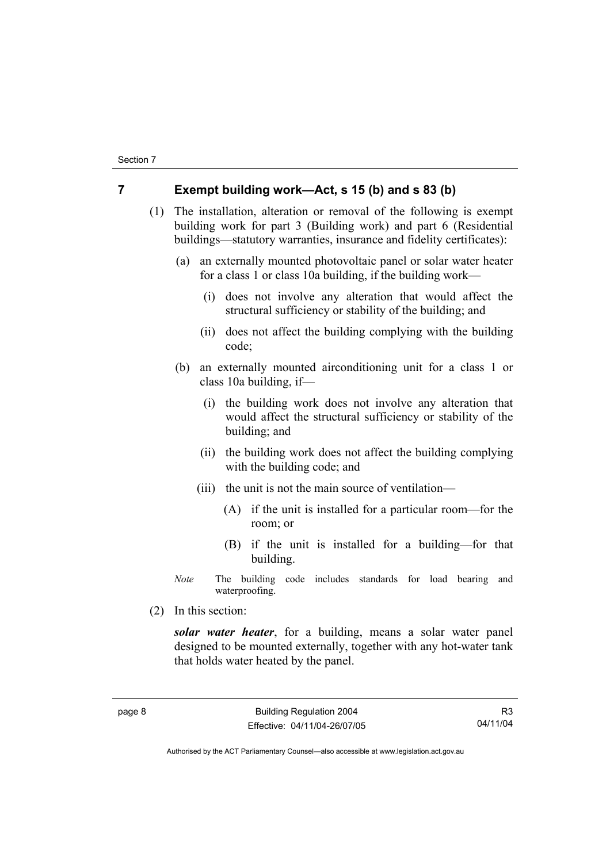### **7 Exempt building work—Act, s 15 (b) and s 83 (b)**

 (1) The installation, alteration or removal of the following is exempt building work for part 3 (Building work) and part 6 (Residential buildings—statutory warranties, insurance and fidelity certificates):

- (a) an externally mounted photovoltaic panel or solar water heater for a class 1 or class 10a building, if the building work—
	- (i) does not involve any alteration that would affect the structural sufficiency or stability of the building; and
	- (ii) does not affect the building complying with the building code;
- (b) an externally mounted airconditioning unit for a class 1 or class 10a building, if—
	- (i) the building work does not involve any alteration that would affect the structural sufficiency or stability of the building; and
	- (ii) the building work does not affect the building complying with the building code; and
	- (iii) the unit is not the main source of ventilation—
		- (A) if the unit is installed for a particular room—for the room; or
		- (B) if the unit is installed for a building—for that building.
- *Note* The building code includes standards for load bearing and waterproofing.
- (2) In this section:

*solar water heater*, for a building, means a solar water panel designed to be mounted externally, together with any hot-water tank that holds water heated by the panel.

R3 04/11/04

Authorised by the ACT Parliamentary Counsel—also accessible at www.legislation.act.gov.au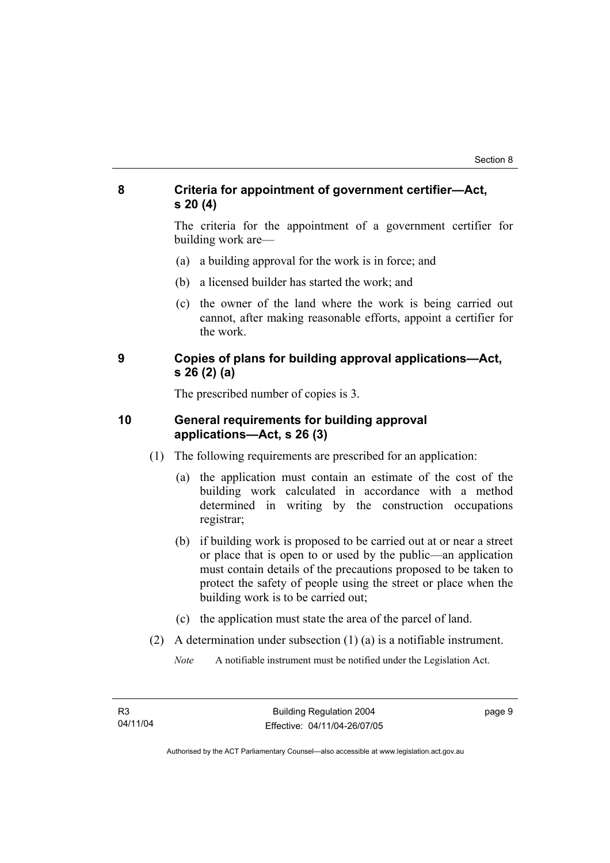### **8 Criteria for appointment of government certifier—Act, s 20 (4)**

The criteria for the appointment of a government certifier for building work are—

- (a) a building approval for the work is in force; and
- (b) a licensed builder has started the work; and
- (c) the owner of the land where the work is being carried out cannot, after making reasonable efforts, appoint a certifier for the work.

### **9 Copies of plans for building approval applications—Act, s 26 (2) (a)**

The prescribed number of copies is 3.

### **10 General requirements for building approval applications—Act, s 26 (3)**

- (1) The following requirements are prescribed for an application:
	- (a) the application must contain an estimate of the cost of the building work calculated in accordance with a method determined in writing by the construction occupations registrar;
	- (b) if building work is proposed to be carried out at or near a street or place that is open to or used by the public—an application must contain details of the precautions proposed to be taken to protect the safety of people using the street or place when the building work is to be carried out;
	- (c) the application must state the area of the parcel of land.
- (2) A determination under subsection (1) (a) is a notifiable instrument.

*Note* A notifiable instrument must be notified under the Legislation Act.

page 9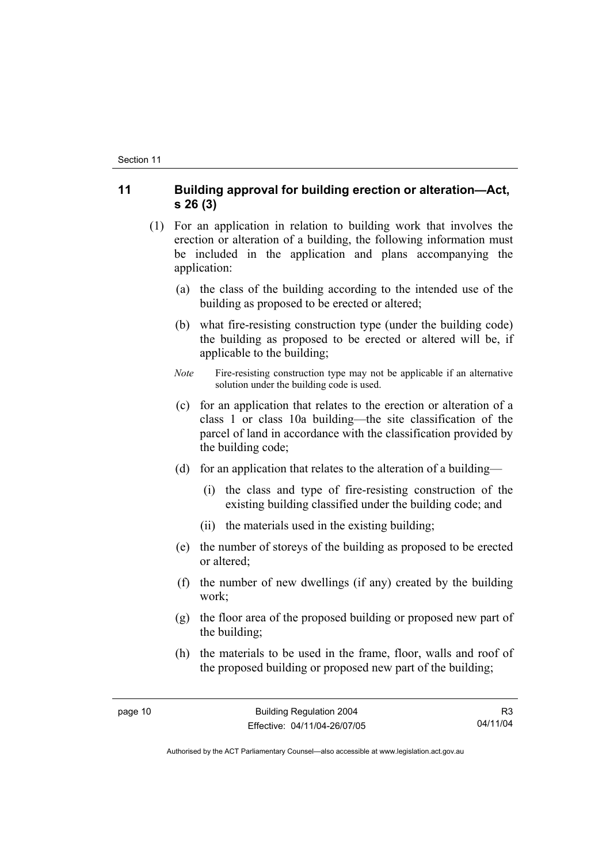### **11 Building approval for building erection or alteration—Act, s 26 (3)**

- (1) For an application in relation to building work that involves the erection or alteration of a building, the following information must be included in the application and plans accompanying the application:
	- (a) the class of the building according to the intended use of the building as proposed to be erected or altered;
	- (b) what fire-resisting construction type (under the building code) the building as proposed to be erected or altered will be, if applicable to the building;
	- *Note* Fire-resisting construction type may not be applicable if an alternative solution under the building code is used.
	- (c) for an application that relates to the erection or alteration of a class 1 or class 10a building—the site classification of the parcel of land in accordance with the classification provided by the building code;
	- (d) for an application that relates to the alteration of a building—
		- (i) the class and type of fire-resisting construction of the existing building classified under the building code; and
		- (ii) the materials used in the existing building;
	- (e) the number of storeys of the building as proposed to be erected or altered;
	- (f) the number of new dwellings (if any) created by the building work;
	- (g) the floor area of the proposed building or proposed new part of the building;
	- (h) the materials to be used in the frame, floor, walls and roof of the proposed building or proposed new part of the building;

R3 04/11/04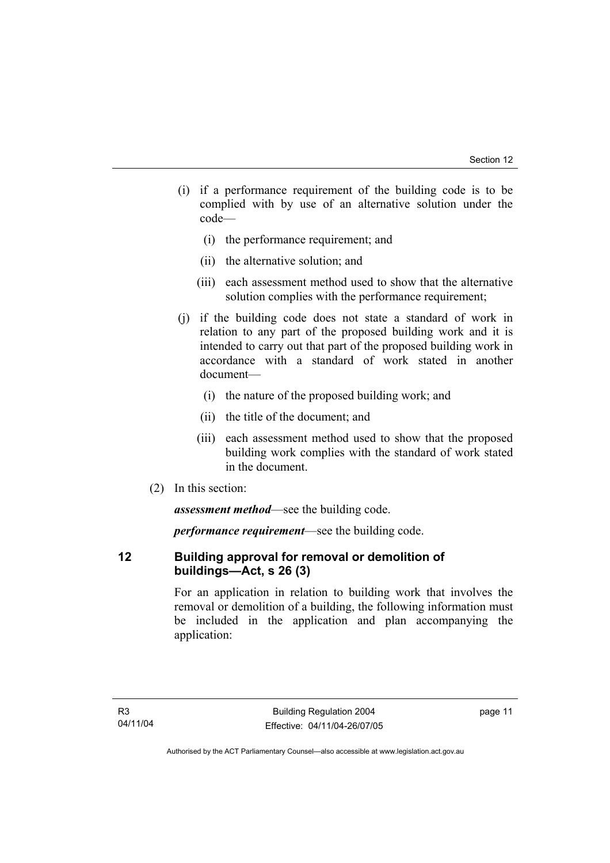- (i) if a performance requirement of the building code is to be complied with by use of an alternative solution under the code—
	- (i) the performance requirement; and
	- (ii) the alternative solution; and
	- (iii) each assessment method used to show that the alternative solution complies with the performance requirement;
- (j) if the building code does not state a standard of work in relation to any part of the proposed building work and it is intended to carry out that part of the proposed building work in accordance with a standard of work stated in another document—
	- (i) the nature of the proposed building work; and
	- (ii) the title of the document; and
	- (iii) each assessment method used to show that the proposed building work complies with the standard of work stated in the document.
- (2) In this section:

*assessment method*—see the building code.

*performance requirement*—see the building code.

### **12 Building approval for removal or demolition of buildings—Act, s 26 (3)**

For an application in relation to building work that involves the removal or demolition of a building, the following information must be included in the application and plan accompanying the application: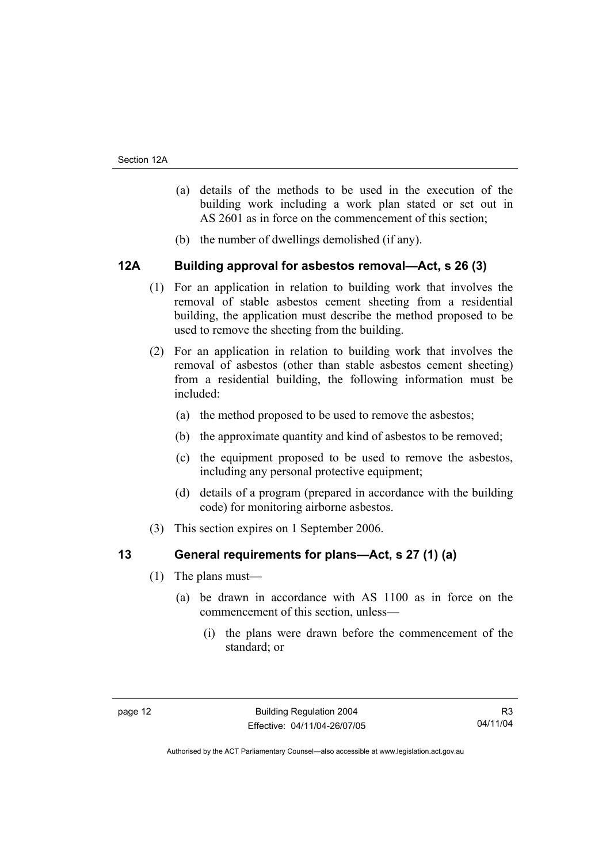- (a) details of the methods to be used in the execution of the building work including a work plan stated or set out in AS 2601 as in force on the commencement of this section;
- (b) the number of dwellings demolished (if any).

### **12A Building approval for asbestos removal—Act, s 26 (3)**

- (1) For an application in relation to building work that involves the removal of stable asbestos cement sheeting from a residential building, the application must describe the method proposed to be used to remove the sheeting from the building.
- (2) For an application in relation to building work that involves the removal of asbestos (other than stable asbestos cement sheeting) from a residential building, the following information must be included:
	- (a) the method proposed to be used to remove the asbestos;
	- (b) the approximate quantity and kind of asbestos to be removed;
	- (c) the equipment proposed to be used to remove the asbestos, including any personal protective equipment;
	- (d) details of a program (prepared in accordance with the building code) for monitoring airborne asbestos.
- (3) This section expires on 1 September 2006.

### **13 General requirements for plans—Act, s 27 (1) (a)**

- (1) The plans must—
	- (a) be drawn in accordance with AS 1100 as in force on the commencement of this section, unless—
		- (i) the plans were drawn before the commencement of the standard; or

R3 04/11/04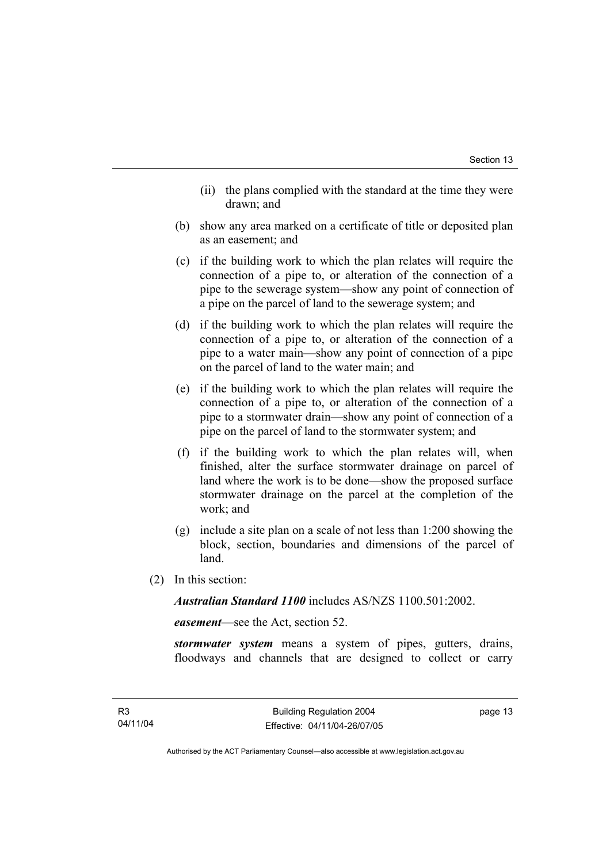- (ii) the plans complied with the standard at the time they were drawn; and
- (b) show any area marked on a certificate of title or deposited plan as an easement; and
- (c) if the building work to which the plan relates will require the connection of a pipe to, or alteration of the connection of a pipe to the sewerage system—show any point of connection of a pipe on the parcel of land to the sewerage system; and
- (d) if the building work to which the plan relates will require the connection of a pipe to, or alteration of the connection of a pipe to a water main—show any point of connection of a pipe on the parcel of land to the water main; and
- (e) if the building work to which the plan relates will require the connection of a pipe to, or alteration of the connection of a pipe to a stormwater drain—show any point of connection of a pipe on the parcel of land to the stormwater system; and
- (f) if the building work to which the plan relates will, when finished, alter the surface stormwater drainage on parcel of land where the work is to be done—show the proposed surface stormwater drainage on the parcel at the completion of the work; and
- (g) include a site plan on a scale of not less than 1:200 showing the block, section, boundaries and dimensions of the parcel of land.
- (2) In this section:

*Australian Standard 1100* includes AS/NZS 1100.501:2002.

*easement*—see the Act, section 52.

*stormwater system* means a system of pipes, gutters, drains, floodways and channels that are designed to collect or carry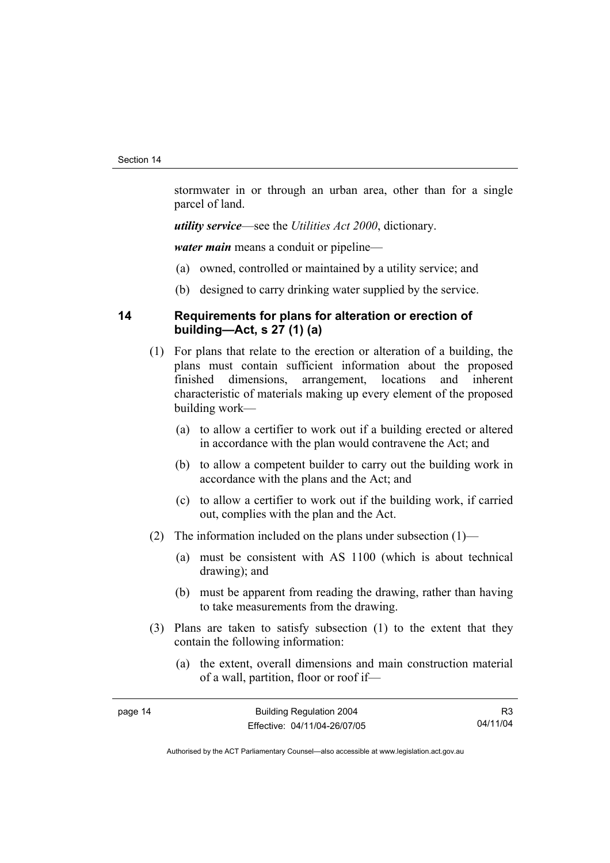stormwater in or through an urban area, other than for a single parcel of land.

*utility service*—see the *Utilities Act 2000*, dictionary.

*water main* means a conduit or pipeline—

- (a) owned, controlled or maintained by a utility service; and
- (b) designed to carry drinking water supplied by the service.

### **14 Requirements for plans for alteration or erection of building—Act, s 27 (1) (a)**

- (1) For plans that relate to the erection or alteration of a building, the plans must contain sufficient information about the proposed finished dimensions, arrangement, locations and inherent characteristic of materials making up every element of the proposed building work—
	- (a) to allow a certifier to work out if a building erected or altered in accordance with the plan would contravene the Act; and
	- (b) to allow a competent builder to carry out the building work in accordance with the plans and the Act; and
	- (c) to allow a certifier to work out if the building work, if carried out, complies with the plan and the Act.
- (2) The information included on the plans under subsection (1)—
	- (a) must be consistent with AS 1100 (which is about technical drawing); and
	- (b) must be apparent from reading the drawing, rather than having to take measurements from the drawing.
- (3) Plans are taken to satisfy subsection (1) to the extent that they contain the following information:
	- (a) the extent, overall dimensions and main construction material of a wall, partition, floor or roof if—

R3 04/11/04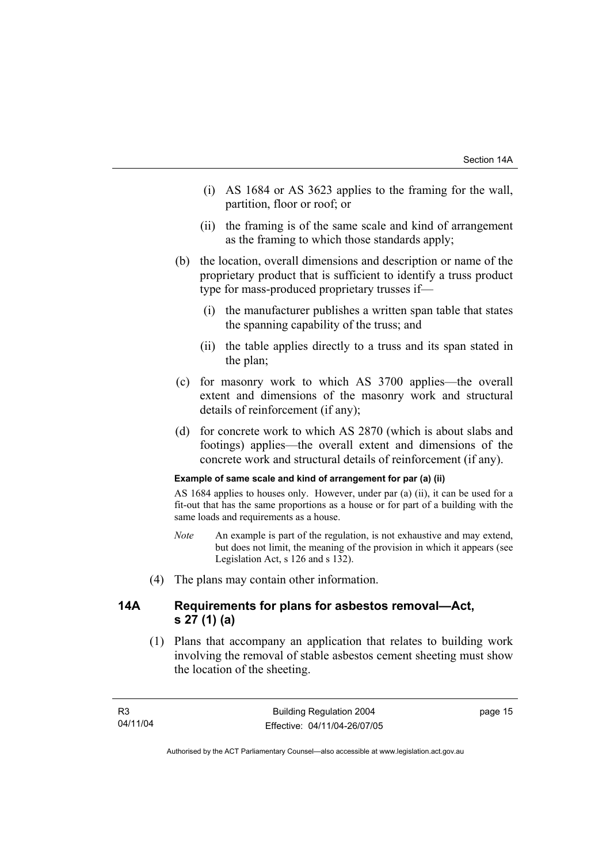- (i) AS 1684 or AS 3623 applies to the framing for the wall, partition, floor or roof; or
- (ii) the framing is of the same scale and kind of arrangement as the framing to which those standards apply;
- (b) the location, overall dimensions and description or name of the proprietary product that is sufficient to identify a truss product type for mass-produced proprietary trusses if—
	- (i) the manufacturer publishes a written span table that states the spanning capability of the truss; and
	- (ii) the table applies directly to a truss and its span stated in the plan;
- (c) for masonry work to which AS 3700 applies—the overall extent and dimensions of the masonry work and structural details of reinforcement (if any);
- (d) for concrete work to which AS 2870 (which is about slabs and footings) applies—the overall extent and dimensions of the concrete work and structural details of reinforcement (if any).

#### **Example of same scale and kind of arrangement for par (a) (ii)**

AS 1684 applies to houses only. However, under par (a) (ii), it can be used for a fit-out that has the same proportions as a house or for part of a building with the same loads and requirements as a house.

- *Note* An example is part of the regulation, is not exhaustive and may extend, but does not limit, the meaning of the provision in which it appears (see Legislation Act, s 126 and s 132).
- (4) The plans may contain other information.

### **14A Requirements for plans for asbestos removal—Act, s 27 (1) (a)**

 (1) Plans that accompany an application that relates to building work involving the removal of stable asbestos cement sheeting must show the location of the sheeting.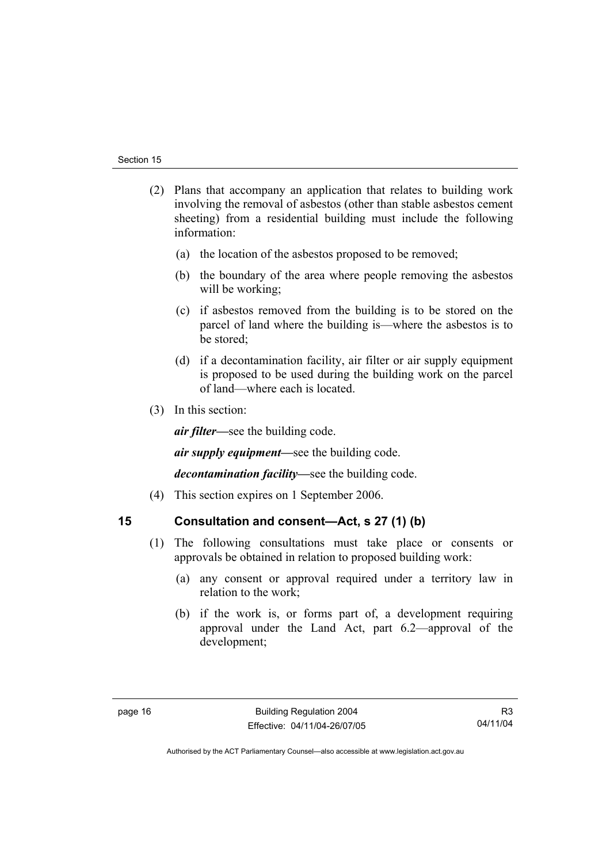- (2) Plans that accompany an application that relates to building work involving the removal of asbestos (other than stable asbestos cement sheeting) from a residential building must include the following information:
	- (a) the location of the asbestos proposed to be removed;
	- (b) the boundary of the area where people removing the asbestos will be working;
	- (c) if asbestos removed from the building is to be stored on the parcel of land where the building is—where the asbestos is to be stored;
	- (d) if a decontamination facility, air filter or air supply equipment is proposed to be used during the building work on the parcel of land—where each is located.
- (3) In this section:

*air filter—*see the building code.

*air supply equipment—*see the building code.

*decontamination facility—*see the building code.

(4) This section expires on 1 September 2006.

### **15 Consultation and consent—Act, s 27 (1) (b)**

- (1) The following consultations must take place or consents or approvals be obtained in relation to proposed building work:
	- (a) any consent or approval required under a territory law in relation to the work;
	- (b) if the work is, or forms part of, a development requiring approval under the Land Act, part 6.2—approval of the development;

R3 04/11/04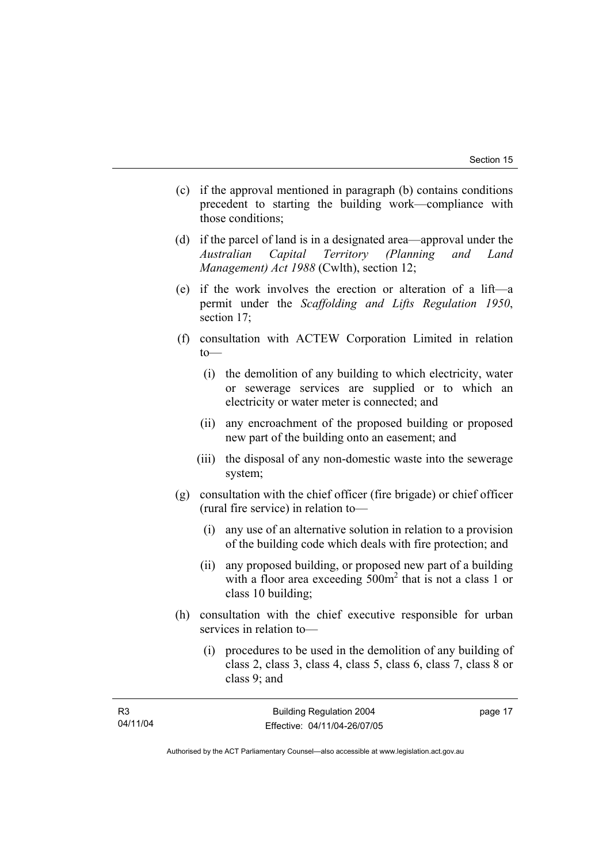$17$ 

- (c) if the approval mentioned in paragraph (b) contains conditions precedent to starting the building work—compliance with those conditions;
- (d) if the parcel of land is in a designated area—approval under the *Australian Capital Territory (Planning and Land Management) Act 1988* (Cwlth), section 12;
- (e) if the work involves the erection or alteration of a lift—a permit under the *Scaffolding and Lifts Regulation 1950*, section 17;
- (f) consultation with ACTEW Corporation Limited in relation to—
	- (i) the demolition of any building to which electricity, water or sewerage services are supplied or to which an electricity or water meter is connected; and
	- (ii) any encroachment of the proposed building or proposed new part of the building onto an easement; and
	- (iii) the disposal of any non-domestic waste into the sewerage system;
- (g) consultation with the chief officer (fire brigade) or chief officer (rural fire service) in relation to—
	- (i) any use of an alternative solution in relation to a provision of the building code which deals with fire protection; and
	- (ii) any proposed building, or proposed new part of a building with a floor area exceeding  $500m^2$  that is not a class 1 or class 10 building;
- (h) consultation with the chief executive responsible for urban services in relation to—
	- (i) procedures to be used in the demolition of any building of class 2, class 3, class 4, class 5, class 6, class 7, class 8 or class 9; and

| R3       | <b>Building Regulation 2004</b> | page |
|----------|---------------------------------|------|
| 04/11/04 | Effective: 04/11/04-26/07/05    |      |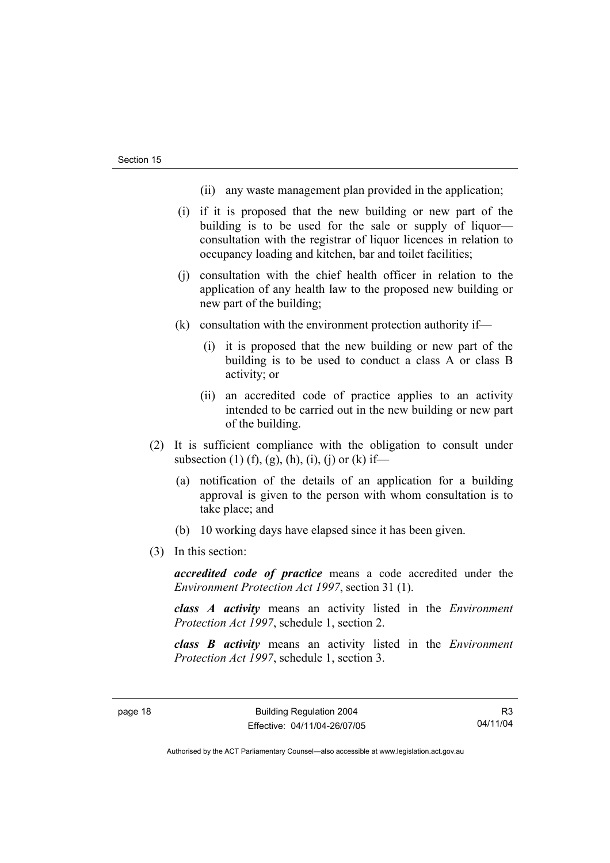- (ii) any waste management plan provided in the application;
- (i) if it is proposed that the new building or new part of the building is to be used for the sale or supply of liquor consultation with the registrar of liquor licences in relation to occupancy loading and kitchen, bar and toilet facilities;
- (j) consultation with the chief health officer in relation to the application of any health law to the proposed new building or new part of the building;
- (k) consultation with the environment protection authority if—
	- (i) it is proposed that the new building or new part of the building is to be used to conduct a class A or class B activity; or
	- (ii) an accredited code of practice applies to an activity intended to be carried out in the new building or new part of the building.
- (2) It is sufficient compliance with the obligation to consult under subsection (1) (f), (g), (h), (i), (j) or (k) if—
	- (a) notification of the details of an application for a building approval is given to the person with whom consultation is to take place; and
	- (b) 10 working days have elapsed since it has been given.
- (3) In this section:

*accredited code of practice* means a code accredited under the *Environment Protection Act 1997*, section 31 (1).

*class A activity* means an activity listed in the *Environment Protection Act 1997*, schedule 1, section 2.

*class B activity* means an activity listed in the *Environment Protection Act 1997*, schedule 1, section 3.

R3 04/11/04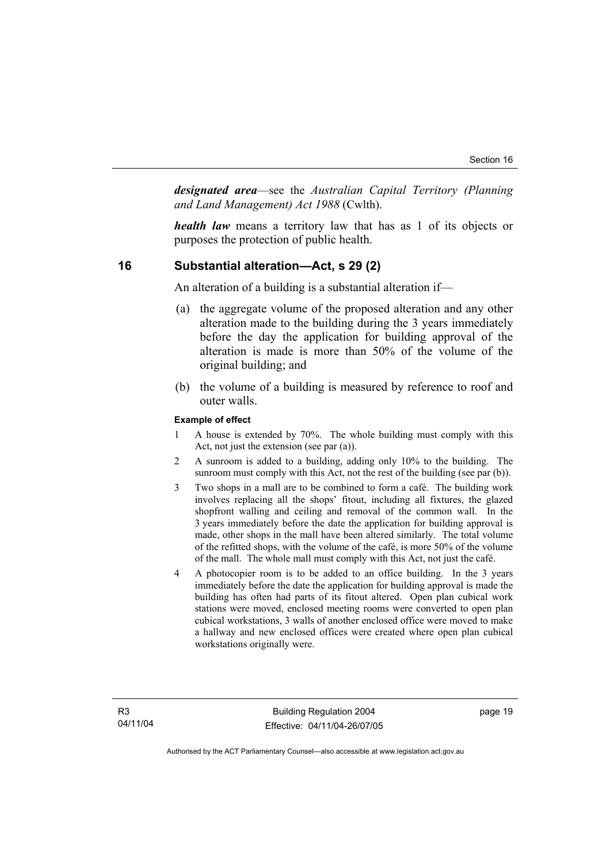*designated area*—see the *Australian Capital Territory (Planning and Land Management) Act 1988* (Cwlth).

*health law* means a territory law that has as 1 of its objects or purposes the protection of public health.

### **16 Substantial alteration—Act, s 29 (2)**

An alteration of a building is a substantial alteration if—

- (a) the aggregate volume of the proposed alteration and any other alteration made to the building during the 3 years immediately before the day the application for building approval of the alteration is made is more than 50% of the volume of the original building; and
- (b) the volume of a building is measured by reference to roof and outer walls.

#### **Example of effect**

- 1 A house is extended by 70%. The whole building must comply with this Act, not just the extension (see par (a)).
- 2 A sunroom is added to a building, adding only 10% to the building. The sunroom must comply with this Act, not the rest of the building (see par (b)).
- 3 Two shops in a mall are to be combined to form a café. The building work involves replacing all the shops' fitout, including all fixtures, the glazed shopfront walling and ceiling and removal of the common wall. In the 3 years immediately before the date the application for building approval is made, other shops in the mall have been altered similarly. The total volume of the refitted shops, with the volume of the café, is more 50% of the volume of the mall. The whole mall must comply with this Act, not just the café.
- 4 A photocopier room is to be added to an office building. In the 3 years immediately before the date the application for building approval is made the building has often had parts of its fitout altered. Open plan cubical work stations were moved, enclosed meeting rooms were converted to open plan cubical workstations, 3 walls of another enclosed office were moved to make a hallway and new enclosed offices were created where open plan cubical workstations originally were.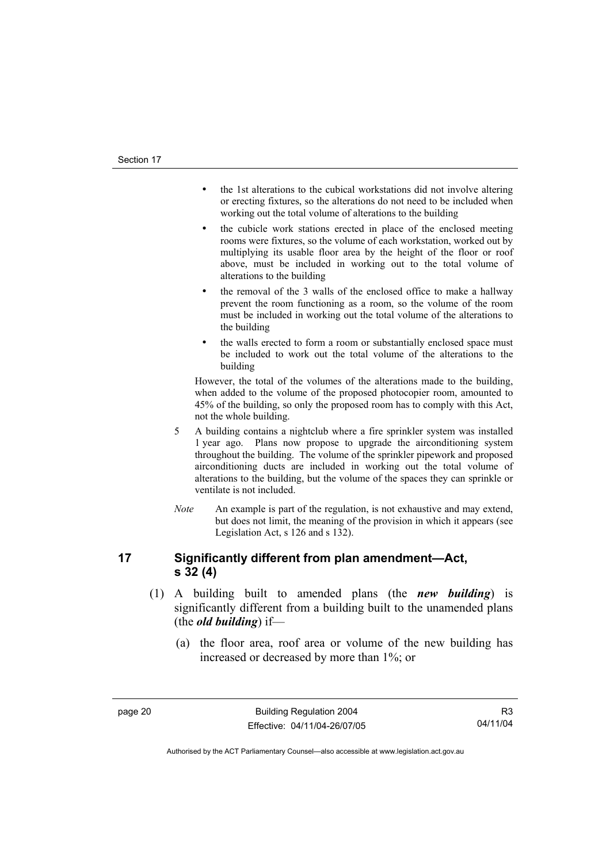- the 1st alterations to the cubical workstations did not involve altering or erecting fixtures, so the alterations do not need to be included when working out the total volume of alterations to the building
- the cubicle work stations erected in place of the enclosed meeting rooms were fixtures, so the volume of each workstation, worked out by multiplying its usable floor area by the height of the floor or roof above, must be included in working out to the total volume of alterations to the building
- the removal of the 3 walls of the enclosed office to make a hallway prevent the room functioning as a room, so the volume of the room must be included in working out the total volume of the alterations to the building
- the walls erected to form a room or substantially enclosed space must be included to work out the total volume of the alterations to the building

However, the total of the volumes of the alterations made to the building, when added to the volume of the proposed photocopier room, amounted to 45% of the building, so only the proposed room has to comply with this Act, not the whole building.

- 5 A building contains a nightclub where a fire sprinkler system was installed 1 year ago. Plans now propose to upgrade the airconditioning system throughout the building. The volume of the sprinkler pipework and proposed airconditioning ducts are included in working out the total volume of alterations to the building, but the volume of the spaces they can sprinkle or ventilate is not included.
- *Note* An example is part of the regulation, is not exhaustive and may extend, but does not limit, the meaning of the provision in which it appears (see Legislation Act, s 126 and s 132).

### **17 Significantly different from plan amendment—Act, s 32 (4)**

- (1) A building built to amended plans (the *new building*) is significantly different from a building built to the unamended plans (the *old building*) if—
	- (a) the floor area, roof area or volume of the new building has increased or decreased by more than 1%; or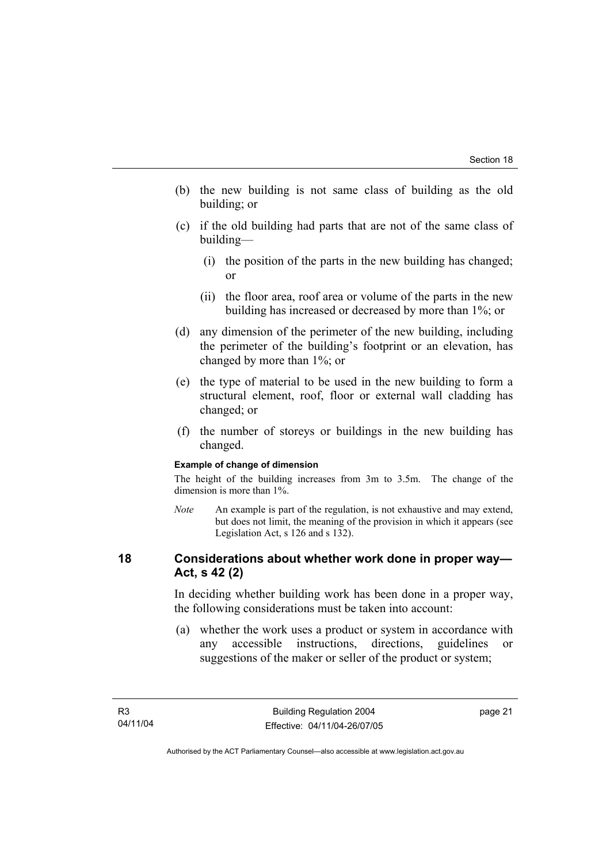- (b) the new building is not same class of building as the old building; or
- (c) if the old building had parts that are not of the same class of building—
	- (i) the position of the parts in the new building has changed; or
	- (ii) the floor area, roof area or volume of the parts in the new building has increased or decreased by more than 1%; or
- (d) any dimension of the perimeter of the new building, including the perimeter of the building's footprint or an elevation, has changed by more than 1%; or
- (e) the type of material to be used in the new building to form a structural element, roof, floor or external wall cladding has changed; or
- (f) the number of storeys or buildings in the new building has changed.

#### **Example of change of dimension**

The height of the building increases from 3m to 3.5m. The change of the dimension is more than 1%.

*Note* An example is part of the regulation, is not exhaustive and may extend, but does not limit, the meaning of the provision in which it appears (see Legislation Act, s 126 and s 132).

### **18 Considerations about whether work done in proper way— Act, s 42 (2)**

In deciding whether building work has been done in a proper way, the following considerations must be taken into account:

 (a) whether the work uses a product or system in accordance with any accessible instructions, directions, guidelines or suggestions of the maker or seller of the product or system;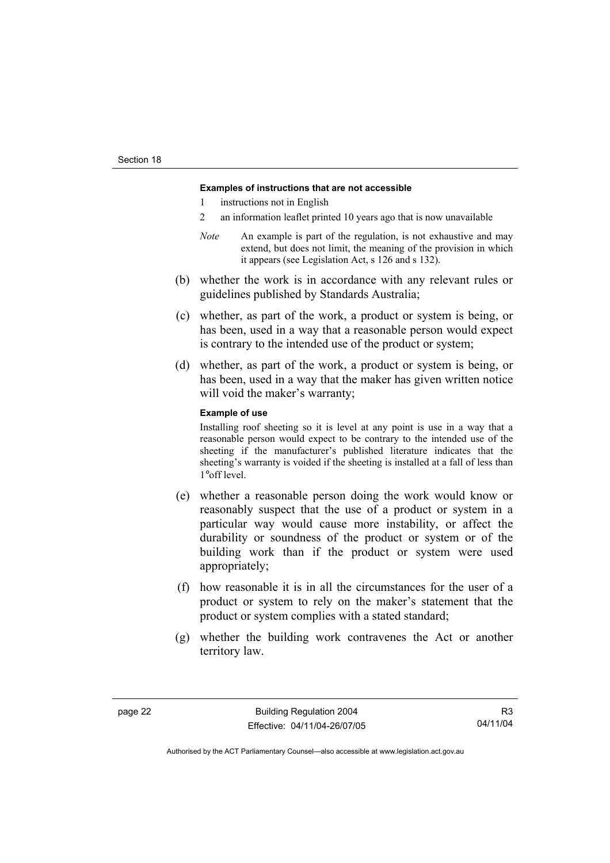#### **Examples of instructions that are not accessible**

- 1 instructions not in English
- 2 an information leaflet printed 10 years ago that is now unavailable
- *Note* An example is part of the regulation, is not exhaustive and may extend, but does not limit, the meaning of the provision in which it appears (see Legislation Act, s 126 and s 132).
- (b) whether the work is in accordance with any relevant rules or guidelines published by Standards Australia;
- (c) whether, as part of the work, a product or system is being, or has been, used in a way that a reasonable person would expect is contrary to the intended use of the product or system;
- (d) whether, as part of the work, a product or system is being, or has been, used in a way that the maker has given written notice will void the maker's warranty;

#### **Example of use**

Installing roof sheeting so it is level at any point is use in a way that a reasonable person would expect to be contrary to the intended use of the sheeting if the manufacturer's published literature indicates that the sheeting's warranty is voided if the sheeting is installed at a fall of less than 1°off level.

- (e) whether a reasonable person doing the work would know or reasonably suspect that the use of a product or system in a particular way would cause more instability, or affect the durability or soundness of the product or system or of the building work than if the product or system were used appropriately;
- (f) how reasonable it is in all the circumstances for the user of a product or system to rely on the maker's statement that the product or system complies with a stated standard;
- (g) whether the building work contravenes the Act or another territory law.

R3 04/11/04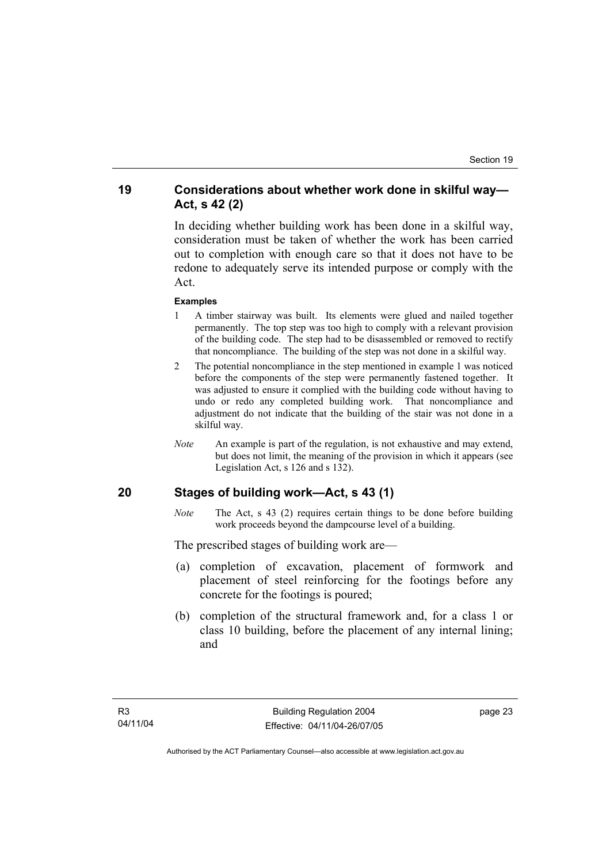### **19 Considerations about whether work done in skilful way— Act, s 42 (2)**

In deciding whether building work has been done in a skilful way, consideration must be taken of whether the work has been carried out to completion with enough care so that it does not have to be redone to adequately serve its intended purpose or comply with the Act.

#### **Examples**

- 1 A timber stairway was built. Its elements were glued and nailed together permanently. The top step was too high to comply with a relevant provision of the building code. The step had to be disassembled or removed to rectify that noncompliance. The building of the step was not done in a skilful way.
- 2 The potential noncompliance in the step mentioned in example 1 was noticed before the components of the step were permanently fastened together. It was adjusted to ensure it complied with the building code without having to undo or redo any completed building work. That noncompliance and adjustment do not indicate that the building of the stair was not done in a skilful way.
- *Note* An example is part of the regulation, is not exhaustive and may extend, but does not limit, the meaning of the provision in which it appears (see Legislation Act, s 126 and s 132).

### **20 Stages of building work—Act, s 43 (1)**

*Note* The Act, s 43 (2) requires certain things to be done before building work proceeds beyond the dampcourse level of a building.

The prescribed stages of building work are—

- (a) completion of excavation, placement of formwork and placement of steel reinforcing for the footings before any concrete for the footings is poured;
- (b) completion of the structural framework and, for a class 1 or class 10 building, before the placement of any internal lining; and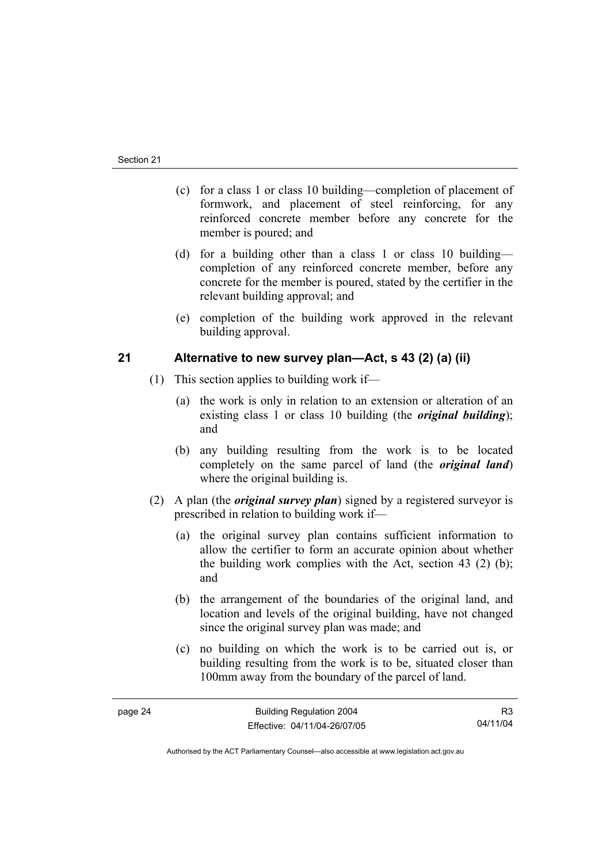- (c) for a class 1 or class 10 building—completion of placement of formwork, and placement of steel reinforcing, for any reinforced concrete member before any concrete for the member is poured; and
- (d) for a building other than a class 1 or class 10 building completion of any reinforced concrete member, before any concrete for the member is poured, stated by the certifier in the relevant building approval; and
- (e) completion of the building work approved in the relevant building approval.

### **21 Alternative to new survey plan—Act, s 43 (2) (a) (ii)**

- (1) This section applies to building work if—
	- (a) the work is only in relation to an extension or alteration of an existing class 1 or class 10 building (the *original building*); and
	- (b) any building resulting from the work is to be located completely on the same parcel of land (the *original land*) where the original building is.
- (2) A plan (the *original survey plan*) signed by a registered surveyor is prescribed in relation to building work if—
	- (a) the original survey plan contains sufficient information to allow the certifier to form an accurate opinion about whether the building work complies with the Act, section 43 (2) (b); and
	- (b) the arrangement of the boundaries of the original land, and location and levels of the original building, have not changed since the original survey plan was made; and
	- (c) no building on which the work is to be carried out is, or building resulting from the work is to be, situated closer than 100mm away from the boundary of the parcel of land.

R3 04/11/04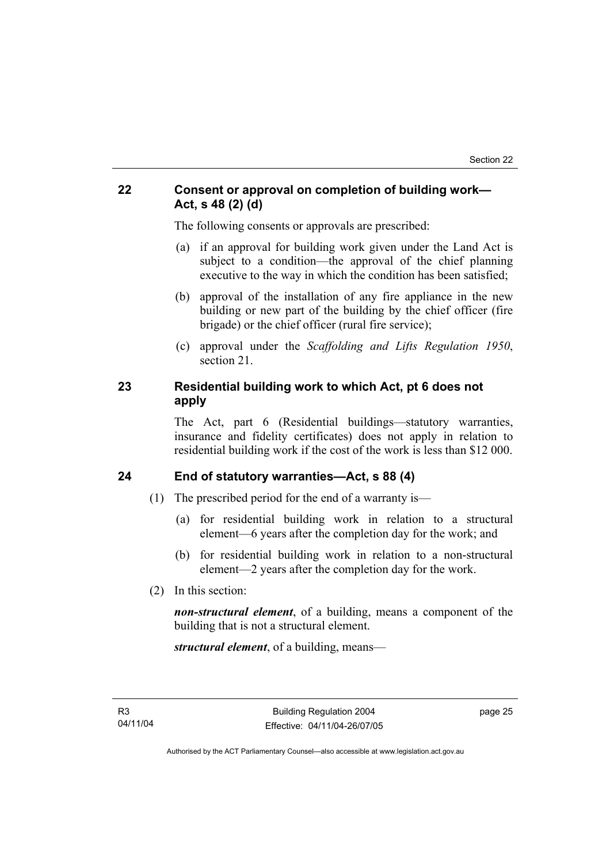### **22 Consent or approval on completion of building work— Act, s 48 (2) (d)**

The following consents or approvals are prescribed:

- (a) if an approval for building work given under the Land Act is subject to a condition—the approval of the chief planning executive to the way in which the condition has been satisfied;
- (b) approval of the installation of any fire appliance in the new building or new part of the building by the chief officer (fire brigade) or the chief officer (rural fire service);
- (c) approval under the *Scaffolding and Lifts Regulation 1950*, section 21.

### **23 Residential building work to which Act, pt 6 does not apply**

The Act, part 6 (Residential buildings—statutory warranties, insurance and fidelity certificates) does not apply in relation to residential building work if the cost of the work is less than \$12 000.

### **24 End of statutory warranties—Act, s 88 (4)**

- (1) The prescribed period for the end of a warranty is—
	- (a) for residential building work in relation to a structural element—6 years after the completion day for the work; and
	- (b) for residential building work in relation to a non-structural element—2 years after the completion day for the work.
- (2) In this section:

*non-structural element*, of a building, means a component of the building that is not a structural element.

*structural element*, of a building, means—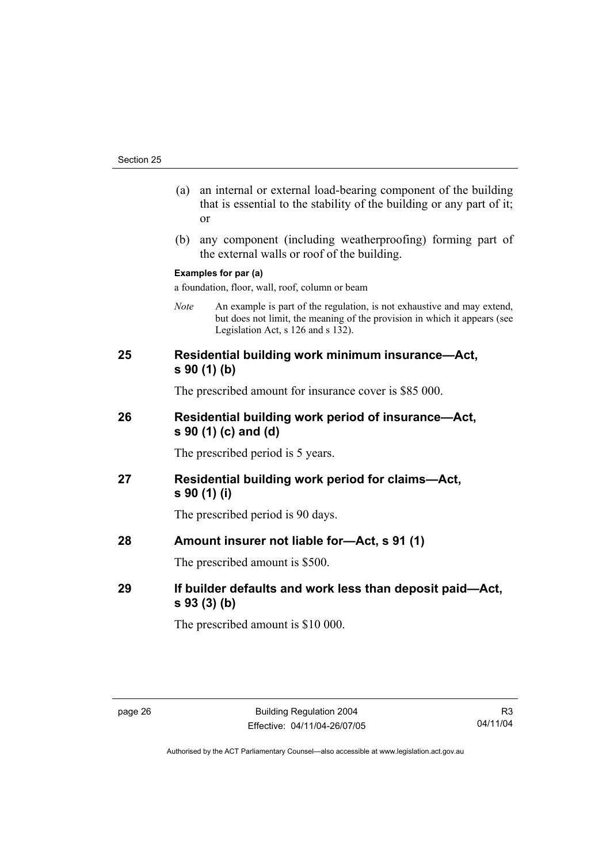- (a) an internal or external load-bearing component of the building that is essential to the stability of the building or any part of it; or
- (b) any component (including weatherproofing) forming part of the external walls or roof of the building.

#### **Examples for par (a)**

a foundation, floor, wall, roof, column or beam

*Note* An example is part of the regulation, is not exhaustive and may extend, but does not limit, the meaning of the provision in which it appears (see Legislation Act, s 126 and s 132).

### **25 Residential building work minimum insurance—Act, s 90 (1) (b)**

The prescribed amount for insurance cover is \$85 000.

### **26 Residential building work period of insurance—Act, s 90 (1) (c) and (d)**

The prescribed period is 5 years.

**27 Residential building work period for claims—Act, s 90 (1) (i)** 

The prescribed period is 90 days.

**28 Amount insurer not liable for—Act, s 91 (1)** 

The prescribed amount is \$500.

**29 If builder defaults and work less than deposit paid—Act, s 93 (3) (b)** 

The prescribed amount is \$10 000.

R3 04/11/04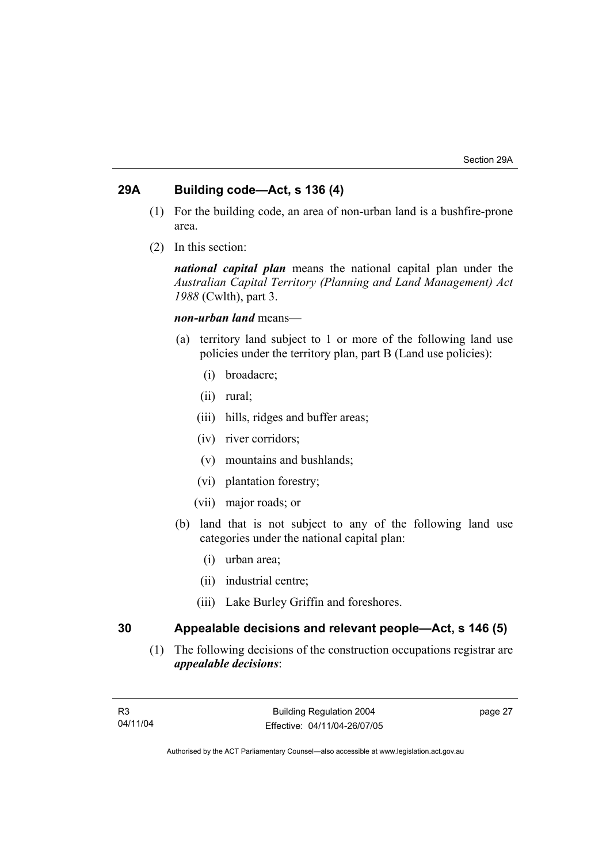### **29A Building code—Act, s 136 (4)**

- (1) For the building code, an area of non-urban land is a bushfire-prone area.
- (2) In this section:

*national capital plan* means the national capital plan under the *Australian Capital Territory (Planning and Land Management) Act 1988* (Cwlth), part 3.

### *non-urban land* means—

- (a) territory land subject to 1 or more of the following land use policies under the territory plan, part B (Land use policies):
	- (i) broadacre;
	- (ii) rural;
	- (iii) hills, ridges and buffer areas;
	- (iv) river corridors;
	- (v) mountains and bushlands;
	- (vi) plantation forestry;
	- (vii) major roads; or
- (b) land that is not subject to any of the following land use categories under the national capital plan:
	- (i) urban area;
	- (ii) industrial centre;
	- (iii) Lake Burley Griffin and foreshores.

### **30 Appealable decisions and relevant people—Act, s 146 (5)**

 (1) The following decisions of the construction occupations registrar are *appealable decisions*: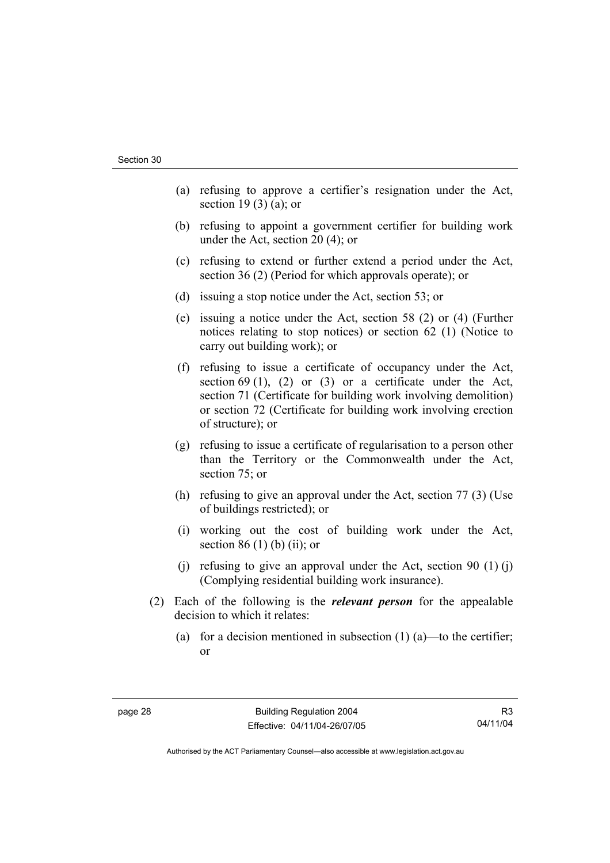- (a) refusing to approve a certifier's resignation under the Act, section 19 $(3)$  $(a)$ ; or
- (b) refusing to appoint a government certifier for building work under the Act, section 20 (4); or
- (c) refusing to extend or further extend a period under the Act, section 36 (2) (Period for which approvals operate); or
- (d) issuing a stop notice under the Act, section 53; or
- (e) issuing a notice under the Act, section 58 (2) or (4) (Further notices relating to stop notices) or section 62 (1) (Notice to carry out building work); or
- (f) refusing to issue a certificate of occupancy under the Act, section 69 (1), (2) or (3) or a certificate under the Act, section 71 (Certificate for building work involving demolition) or section 72 (Certificate for building work involving erection of structure); or
- (g) refusing to issue a certificate of regularisation to a person other than the Territory or the Commonwealth under the Act, section 75; or
- (h) refusing to give an approval under the Act, section 77 (3) (Use of buildings restricted); or
- (i) working out the cost of building work under the Act, section 86 $(1)$  $(b)$  $(ii)$ ; or
- (i) refusing to give an approval under the Act, section 90  $(1)$  (i) (Complying residential building work insurance).
- (2) Each of the following is the *relevant person* for the appealable decision to which it relates:
	- (a) for a decision mentioned in subsection  $(1)$  (a)—to the certifier; or

R3 04/11/04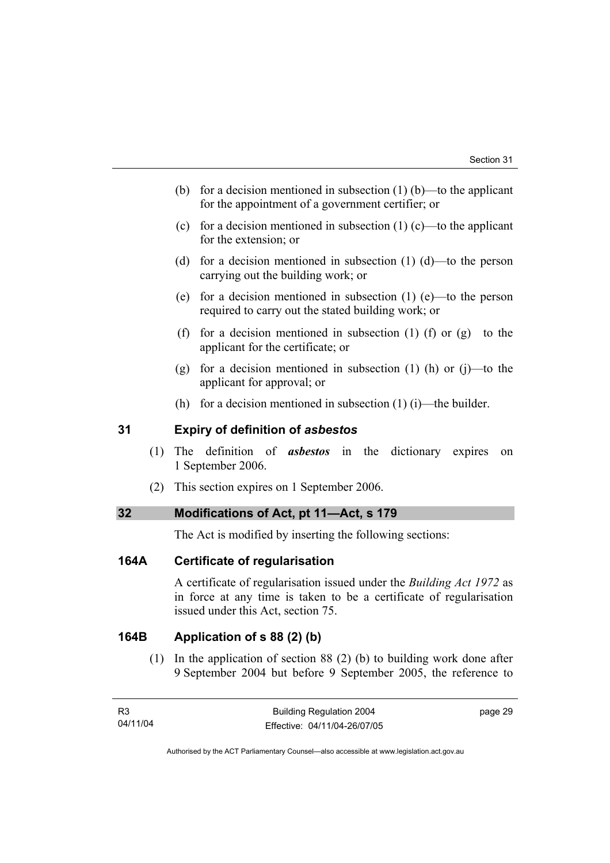- (b) for a decision mentioned in subsection  $(1)$  (b)—to the applicant for the appointment of a government certifier; or
- (c) for a decision mentioned in subsection  $(1)$  (c)—to the applicant for the extension; or
- (d) for a decision mentioned in subsection (1) (d)—to the person carrying out the building work; or
- (e) for a decision mentioned in subsection (1) (e)—to the person required to carry out the stated building work; or
- (f) for a decision mentioned in subsection (1) (f) or  $(g)$ —to the applicant for the certificate; or
- (g) for a decision mentioned in subsection  $(1)$  (h) or  $(i)$ —to the applicant for approval; or
- (h) for a decision mentioned in subsection  $(1)$  (i)—the builder.

### **31 Expiry of definition of** *asbestos*

- (1) The definition of *asbestos* in the dictionary expires on 1 September 2006.
- (2) This section expires on 1 September 2006.

### **32 Modifications of Act, pt 11—Act, s 179**

The Act is modified by inserting the following sections:

### **164A Certificate of regularisation**

A certificate of regularisation issued under the *Building Act 1972* as in force at any time is taken to be a certificate of regularisation issued under this Act, section 75.

### **164B Application of s 88 (2) (b)**

 (1) In the application of section 88 (2) (b) to building work done after 9 September 2004 but before 9 September 2005, the reference to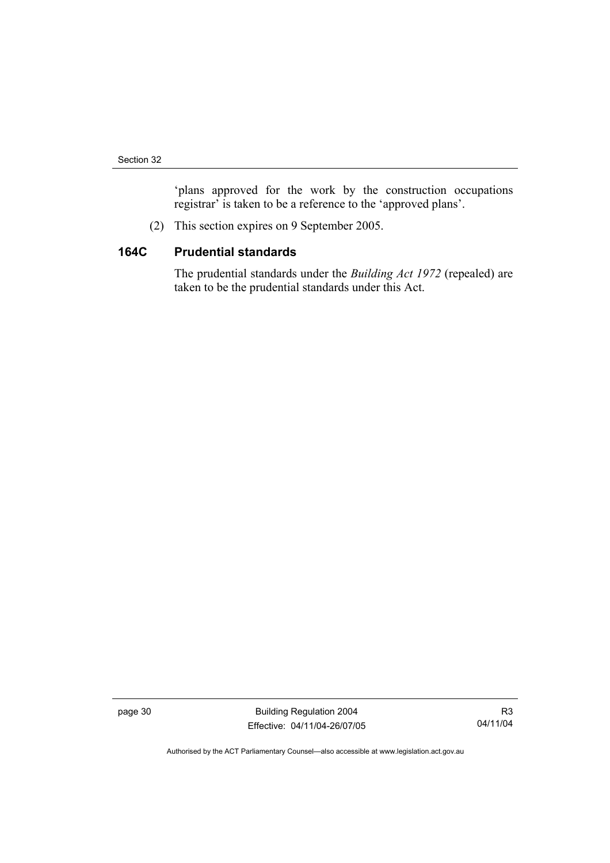'plans approved for the work by the construction occupations registrar' is taken to be a reference to the 'approved plans'.

(2) This section expires on 9 September 2005.

### **164C Prudential standards**

The prudential standards under the *Building Act 1972* (repealed) are taken to be the prudential standards under this Act.

page 30 Building Regulation 2004 Effective: 04/11/04-26/07/05

R3 04/11/04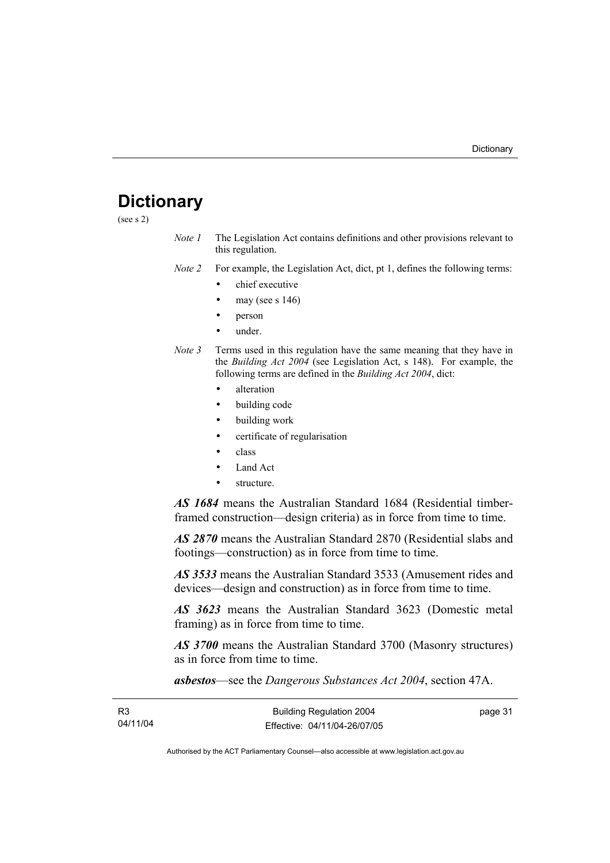## **Dictionary**

(see s 2)

*Note 1* The Legislation Act contains definitions and other provisions relevant to this regulation.

*Note 2* For example, the Legislation Act, dict, pt 1, defines the following terms:

- chief executive
- may (see s  $146$ )
- person
- under.
- *Note 3* Terms used in this regulation have the same meaning that they have in the *Building Act 2004* (see Legislation Act, s 148). For example, the following terms are defined in the *Building Act 2004*, dict:
	- alteration
	- building code
	- building work
	- certificate of regularisation
	- class
	- Land Act
	- structure.

*AS 1684* means the Australian Standard 1684 (Residential timberframed construction—design criteria) as in force from time to time.

*AS 2870* means the Australian Standard 2870 (Residential slabs and footings—construction) as in force from time to time.

*AS 3533* means the Australian Standard 3533 (Amusement rides and devices—design and construction) as in force from time to time.

*AS 3623* means the Australian Standard 3623 (Domestic metal framing) as in force from time to time.

*AS 3700* means the Australian Standard 3700 (Masonry structures) as in force from time to time.

*asbestos*—see the *Dangerous Substances Act 2004*, section 47A.

| R3       | <b>Building Regulation 2004</b> | page 31 |
|----------|---------------------------------|---------|
| 04/11/04 | Effective: 04/11/04-26/07/05    |         |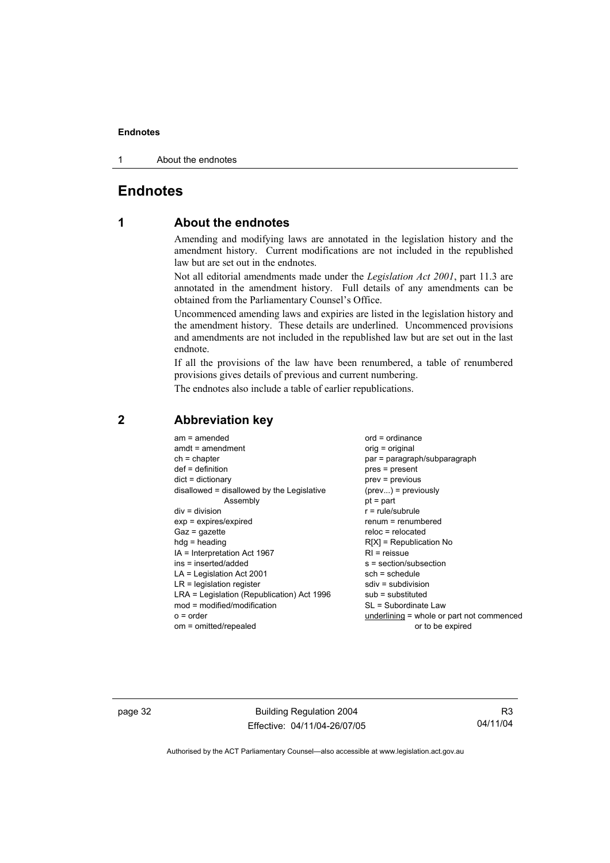1 About the endnotes

### **Endnotes**

### **1 About the endnotes**

Amending and modifying laws are annotated in the legislation history and the amendment history. Current modifications are not included in the republished law but are set out in the endnotes.

Not all editorial amendments made under the *Legislation Act 2001*, part 11.3 are annotated in the amendment history. Full details of any amendments can be obtained from the Parliamentary Counsel's Office.

Uncommenced amending laws and expiries are listed in the legislation history and the amendment history. These details are underlined. Uncommenced provisions and amendments are not included in the republished law but are set out in the last endnote.

If all the provisions of the law have been renumbered, a table of renumbered provisions gives details of previous and current numbering.

The endnotes also include a table of earlier republications.

| $am = amended$<br>$amdt = amendment$<br>$ch = chapter$<br>$def = definition$<br>$dict = dictionary$<br>disallowed = disallowed by the Legislative<br>Assembly<br>$div = division$<br>$exp = expires/expired$<br>$Gaz = gazette$<br>$hdg =$ heading<br>$IA = Interpretation Act 1967$<br>ins = inserted/added<br>$LA =$ Legislation Act 2001<br>$LR =$ legislation register<br>LRA = Legislation (Republication) Act 1996<br>$mod = modified/modification$<br>$o = order$ | $ord = ordinance$<br>$orig = original$<br>par = paragraph/subparagraph<br>$pres = present$<br>$prev = previous$<br>$(\text{prev}) = \text{previously}$<br>$pt = part$<br>$r = rule/subrule$<br>$remum = renumbered$<br>$reloc = relocated$<br>$R[X]$ = Republication No<br>$RI =$ reissue<br>$s = section/subsection$<br>$sch = schedule$<br>$sdiv = subdivision$<br>$sub =$ substituted<br>SL = Subordinate Law<br>underlining = whole or part not commenced |
|--------------------------------------------------------------------------------------------------------------------------------------------------------------------------------------------------------------------------------------------------------------------------------------------------------------------------------------------------------------------------------------------------------------------------------------------------------------------------|---------------------------------------------------------------------------------------------------------------------------------------------------------------------------------------------------------------------------------------------------------------------------------------------------------------------------------------------------------------------------------------------------------------------------------------------------------------|
| om = omitted/repealed                                                                                                                                                                                                                                                                                                                                                                                                                                                    | or to be expired                                                                                                                                                                                                                                                                                                                                                                                                                                              |
|                                                                                                                                                                                                                                                                                                                                                                                                                                                                          |                                                                                                                                                                                                                                                                                                                                                                                                                                                               |

### **2 Abbreviation key**

page 32 **Building Regulation 2004** Effective: 04/11/04-26/07/05

R3 04/11/04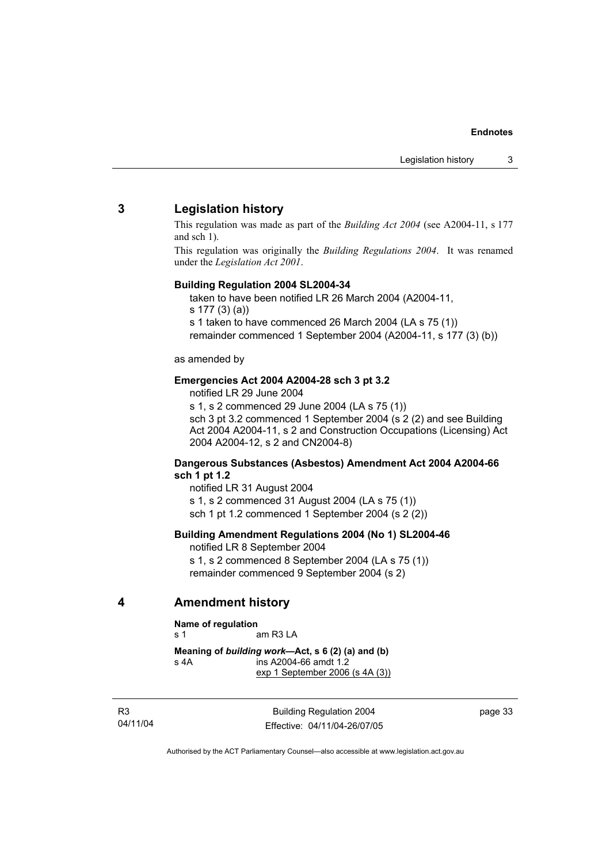### **3 Legislation history**

This regulation was made as part of the *Building Act 2004* (see A2004-11, s 177 and sch 1).

This regulation was originally the *Building Regulations 2004*. It was renamed under the *Legislation Act 2001*.

#### **Building Regulation 2004 SL2004-34**

taken to have been notified LR 26 March 2004 (A2004-11,

s 177 (3) (a))

s 1 taken to have commenced 26 March 2004 (LA s 75 (1))

remainder commenced 1 September 2004 (A2004-11, s 177 (3) (b))

as amended by

#### **Emergencies Act 2004 A2004-28 sch 3 pt 3.2**

notified LR 29 June 2004

s 1, s 2 commenced 29 June 2004 (LA s 75 (1)) sch 3 pt 3.2 commenced 1 September 2004 (s 2 (2) and see Building Act 2004 A2004-11, s 2 and Construction Occupations (Licensing) Act 2004 A2004-12, s 2 and CN2004-8)

#### **Dangerous Substances (Asbestos) Amendment Act 2004 A2004-66 sch 1 pt 1.2**

notified LR 31 August 2004 s 1, s 2 commenced 31 August 2004 (LA s 75 (1)) sch 1 pt 1.2 commenced 1 September 2004 (s 2 (2))

#### **Building Amendment Regulations 2004 (No 1) SL2004-46**

notified LR 8 September 2004 s 1, s 2 commenced 8 September 2004 (LA s 75 (1)) remainder commenced 9 September 2004 (s 2)

### **4 Amendment history**

**Name of regulation** 

s 1 am R3 LA

**Meaning of** *building work***—Act, s 6 (2) (a) and (b)**  s 4A ins A2004-66 amdt 1.2 exp 1 September 2006 (s 4A (3))

R3 04/11/04

Building Regulation 2004 Effective: 04/11/04-26/07/05 page 33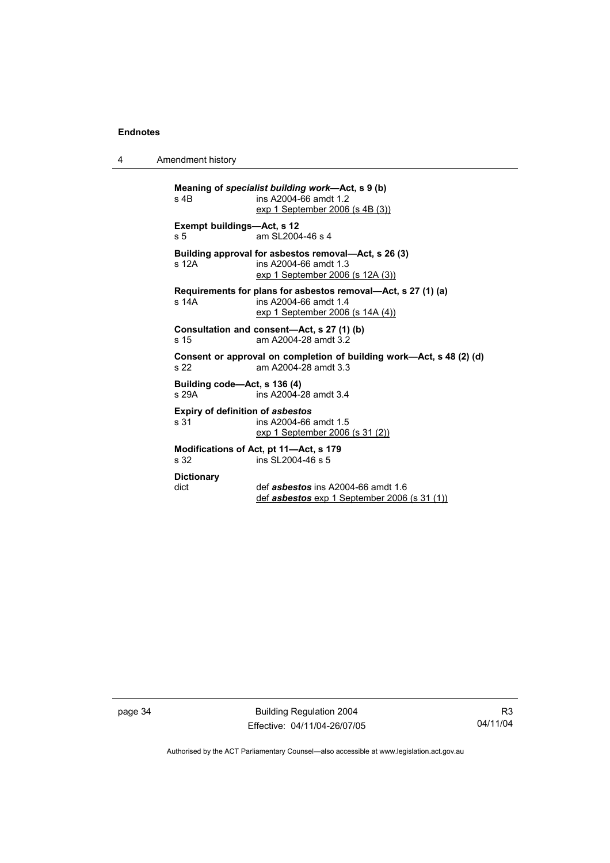4 Amendment history

| $s$ 4B                                                                                                          | Meaning of specialist building work—Act, s 9 (b)<br>ins A2004-66 amdt 1.2<br>exp 1 September 2006 (s 4B (3))               |  |  |
|-----------------------------------------------------------------------------------------------------------------|----------------------------------------------------------------------------------------------------------------------------|--|--|
| Exempt buildings—Act, s 12<br>s 5                                                                               | am SI 2004-46 s 4                                                                                                          |  |  |
| s 12A                                                                                                           | Building approval for asbestos removal—Act, s 26 (3)<br>ins A2004-66 amdt 1.3<br>exp 1 September 2006 (s 12A (3))          |  |  |
| s 14A                                                                                                           | Requirements for plans for asbestos removal—Act, s 27 (1) (a)<br>ins A2004-66 amdt 1.4<br>exp 1 September 2006 (s 14A (4)) |  |  |
| Consultation and consent—Act, s 27 (1) (b)<br>am A2004-28 amdt 3.2<br>s <sub>15</sub>                           |                                                                                                                            |  |  |
| Consent or approval on completion of building work-Act, s 48 (2) (d)<br>am A2004-28 amdt 3.3<br>s <sub>22</sub> |                                                                                                                            |  |  |
| Building code—Act, s 136 (4)<br>s 29A<br>ins A2004-28 amdt 3.4                                                  |                                                                                                                            |  |  |
| s 31                                                                                                            | <b>Expiry of definition of asbestos</b><br>ins A2004-66 amdt 1.5<br>exp 1 September 2006 (s 31 (2))                        |  |  |
| Modifications of Act, pt 11—Act, s 179<br>ins SL2004-46 s 5<br>s <sub>32</sub>                                  |                                                                                                                            |  |  |
| <b>Dictionary</b><br>dict                                                                                       | def <i>asbestos</i> ins A2004-66 amdt 1.6<br>def asbestos exp 1 September 2006 (s 31 (1))                                  |  |  |

page 34 Building Regulation 2004 Effective: 04/11/04-26/07/05

R3 04/11/04